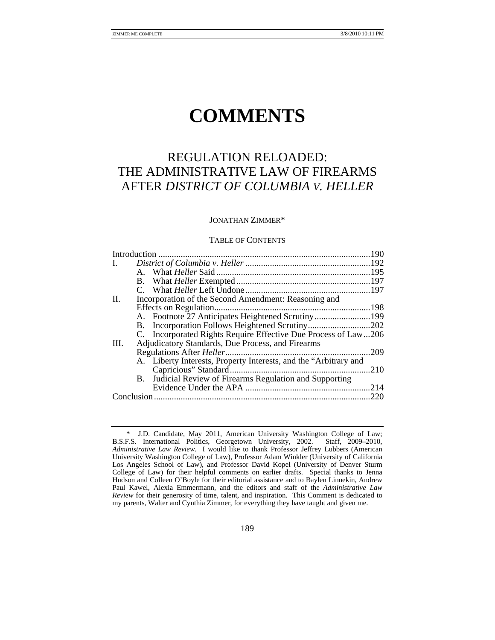# **COMMENTS**

# REGULATION RELOADED: THE ADMINISTRATIVE LAW OF FIREARMS AFTER *DISTRICT OF COLUMBIA V. HELLER*

### JONATHAN ZIMMER\*

#### TABLE OF CONTENTS

| I.                                                               |      |
|------------------------------------------------------------------|------|
|                                                                  |      |
|                                                                  |      |
|                                                                  |      |
| II.<br>Incorporation of the Second Amendment: Reasoning and      |      |
|                                                                  |      |
| A. Footnote 27 Anticipates Heightened Scrutiny199                |      |
| B. Incorporation Follows Heightened Scrutiny202                  |      |
| C. Incorporated Rights Require Effective Due Process of Law206   |      |
| Adjudicatory Standards, Due Process, and Firearms<br>III.        |      |
|                                                                  | 209  |
| A. Liberty Interests, Property Interests, and the "Arbitrary and |      |
|                                                                  | 210  |
| B. Judicial Review of Firearms Regulation and Supporting         |      |
|                                                                  | 2.14 |
|                                                                  | .220 |

 <sup>\*</sup> J.D. Candidate, May 2011, American University Washington College of Law; B.S.F.S. International Politics, Georgetown University, 2002. *Administrative Law Review*. I would like to thank Professor Jeffrey Lubbers (American University Washington College of Law), Professor Adam Winkler (University of California Los Angeles School of Law), and Professor David Kopel (University of Denver Sturm College of Law) for their helpful comments on earlier drafts. Special thanks to Jenna Hudson and Colleen O'Boyle for their editorial assistance and to Baylen Linnekin, Andrew Paul Kawel, Alexia Emmermann, and the editors and staff of the *Administrative Law Review* for their generosity of time, talent, and inspiration. This Comment is dedicated to my parents, Walter and Cynthia Zimmer, for everything they have taught and given me.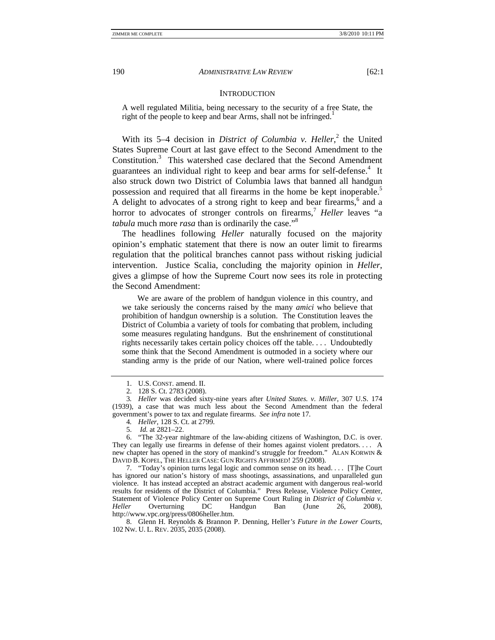#### **INTRODUCTION**

A well regulated Militia, being necessary to the security of a free State, the right of the people to keep and bear Arms, shall not be infringed.<sup>1</sup>

With its 5–4 decision in *District of Columbia v. Heller*,<sup>2</sup> the United States Supreme Court at last gave effect to the Second Amendment to the Constitution.<sup>3</sup> This watershed case declared that the Second Amendment guarantees an individual right to keep and bear arms for self-defense.<sup>4</sup> It also struck down two District of Columbia laws that banned all handgun possession and required that all firearms in the home be kept inoperable.<sup>5</sup> A delight to advocates of a strong right to keep and bear firearms,<sup>6</sup> and a horror to advocates of stronger controls on firearms,<sup>7</sup> *Heller* leaves "a *tabula* much more *rasa* than is ordinarily the case."<sup>8</sup>

The headlines following *Heller* naturally focused on the majority opinion's emphatic statement that there is now an outer limit to firearms regulation that the political branches cannot pass without risking judicial intervention. Justice Scalia, concluding the majority opinion in *Heller*, gives a glimpse of how the Supreme Court now sees its role in protecting the Second Amendment:

 We are aware of the problem of handgun violence in this country, and we take seriously the concerns raised by the many *amici* who believe that prohibition of handgun ownership is a solution. The Constitution leaves the District of Columbia a variety of tools for combating that problem, including some measures regulating handguns. But the enshrinement of constitutional rights necessarily takes certain policy choices off the table. . . . Undoubtedly some think that the Second Amendment is outmoded in a society where our standing army is the pride of our Nation, where well-trained police forces

 <sup>1.</sup> U.S. CONST. amend. II.

 <sup>2. 128</sup> S. Ct. 2783 (2008).

<sup>3</sup>*. Heller* was decided sixty-nine years after *United States. v. Miller*, 307 U.S. 174 (1939), a case that was much less about the Second Amendment than the federal government's power to tax and regulate firearms. *See infra* note 17*.*

<sup>4</sup>*. Heller*, 128 S. Ct. at 2799.

 <sup>5.</sup> *Id.* at 2821–22.

 <sup>6. &</sup>quot;The 32-year nightmare of the law-abiding citizens of Washington, D.C. is over. They can legally use firearms in defense of their homes against violent predators. . . . A new chapter has opened in the story of mankind's struggle for freedom." ALAN KORWIN & DAVID B. KOPEL, THE HELLER CASE: GUN RIGHTS AFFIRMED! 259 (2008).

 <sup>7. &</sup>quot;Today's opinion turns legal logic and common sense on its head. . . . [T]he Court has ignored our nation's history of mass shootings, assassinations, and unparalleled gun violence. It has instead accepted an abstract academic argument with dangerous real-world results for residents of the District of Columbia." Press Release, Violence Policy Center, Statement of Violence Policy Center on Supreme Court Ruling in *District of Columbia v. Heller* Overturning DC Handgun Ban (June 26, 2008), http://www.vpc.org/press/0806heller.htm.

 <sup>8.</sup> Glenn H. Reynolds & Brannon P. Denning, Heller*'s Future in the Lower Courts*, 102 NW. U. L. REV. 2035, 2035 (2008).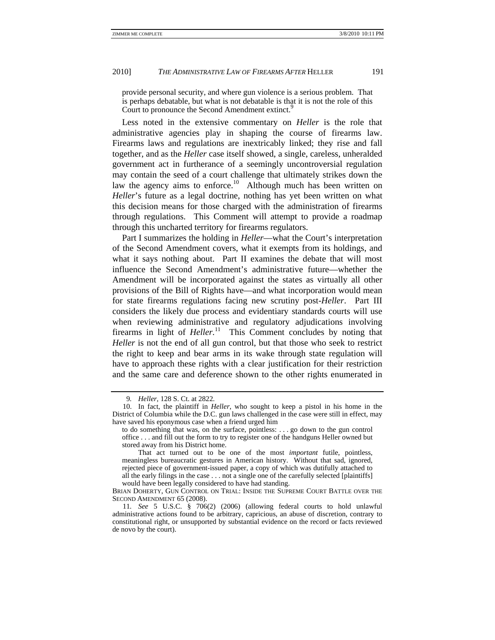provide personal security, and where gun violence is a serious problem. That is perhaps debatable, but what is not debatable is that it is not the role of this Court to pronounce the Second Amendment extinct.<sup>9</sup>

Less noted in the extensive commentary on *Heller* is the role that administrative agencies play in shaping the course of firearms law. Firearms laws and regulations are inextricably linked; they rise and fall together, and as the *Heller* case itself showed, a single, careless, unheralded government act in furtherance of a seemingly uncontroversial regulation may contain the seed of a court challenge that ultimately strikes down the law the agency aims to enforce.<sup>10</sup> Although much has been written on *Heller*'s future as a legal doctrine, nothing has yet been written on what this decision means for those charged with the administration of firearms through regulations. This Comment will attempt to provide a roadmap through this uncharted territory for firearms regulators.

Part I summarizes the holding in *Heller*—what the Court's interpretation of the Second Amendment covers, what it exempts from its holdings, and what it says nothing about. Part II examines the debate that will most influence the Second Amendment's administrative future—whether the Amendment will be incorporated against the states as virtually all other provisions of the Bill of Rights have—and what incorporation would mean for state firearms regulations facing new scrutiny post-*Heller*. Part III considers the likely due process and evidentiary standards courts will use when reviewing administrative and regulatory adjudications involving firearms in light of *Heller*.<sup>11</sup> This Comment concludes by noting that *Heller* is not the end of all gun control, but that those who seek to restrict the right to keep and bear arms in its wake through state regulation will have to approach these rights with a clear justification for their restriction and the same care and deference shown to the other rights enumerated in

<sup>9</sup>*. Heller*, 128 S. Ct. at 2822.

 <sup>10.</sup> In fact, the plaintiff in *Heller*, who sought to keep a pistol in his home in the District of Columbia while the D.C. gun laws challenged in the case were still in effect, may have saved his eponymous case when a friend urged him

to do something that was, on the surface, pointless: . . . go down to the gun control office . . . and fill out the form to try to register one of the handguns Heller owned but stored away from his District home.

That act turned out to be one of the most *important* futile, pointless, meaningless bureaucratic gestures in American history. Without that sad, ignored, rejected piece of government-issued paper, a copy of which was dutifully attached to all the early filings in the case . . . not a single one of the carefully selected [plaintiffs] would have been legally considered to have had standing.

BRIAN DOHERTY, GUN CONTROL ON TRIAL: INSIDE THE SUPREME COURT BATTLE OVER THE SECOND AMENDMENT 65 (2008).

<sup>11</sup>*. See* 5 U.S.C. § 706(2) (2006) (allowing federal courts to hold unlawful administrative actions found to be arbitrary, capricious, an abuse of discretion, contrary to constitutional right, or unsupported by substantial evidence on the record or facts reviewed de novo by the court).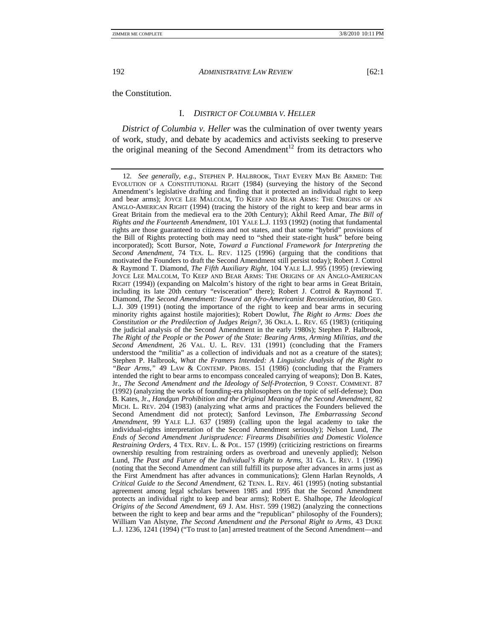the Constitution.

#### I. *DISTRICT OF COLUMBIA V. HELLER*

*District of Columbia v. Heller* was the culmination of over twenty years of work, study, and debate by academics and activists seeking to preserve the original meaning of the Second Amendment<sup>12</sup> from its detractors who

<sup>12</sup>*. See generally, e.g.*, STEPHEN P. HALBROOK, THAT EVERY MAN BE ARMED: THE EVOLUTION OF A CONSTITUTIONAL RIGHT (1984) (surveying the history of the Second Amendment's legislative drafting and finding that it protected an individual right to keep and bear arms); JOYCE LEE MALCOLM, TO KEEP AND BEAR ARMS: THE ORIGINS OF AN ANGLO-AMERICAN RIGHT (1994) (tracing the history of the right to keep and bear arms in Great Britain from the medieval era to the 20th Century); Akhil Reed Amar, *The Bill of Rights and the Fourteenth Amendment*, 101 YALE L.J. 1193 (1992) (noting that fundamental rights are those guaranteed to citizens and not states, and that some "hybrid" provisions of the Bill of Rights protecting both may need to "shed their state-right husk" before being incorporated); Scott Bursor, Note, *Toward a Functional Framework for Interpreting the Second Amendment*, 74 TEX. L. REV. 1125 (1996) (arguing that the conditions that motivated the Founders to draft the Second Amendment still persist today); Robert J. Cottrol & Raymond T. Diamond, *The Fifth Auxiliary Right*, 104 YALE L.J. 995 (1995) (reviewing JOYCE LEE MALCOLM, TO KEEP AND BEAR ARMS: THE ORIGINS OF AN ANGLO-AMERICAN RIGHT (1994)) (expanding on Malcolm's history of the right to bear arms in Great Britain, including its late 20th century "evisceration" there); Robert J. Cottrol & Raymond T. Diamond, *The Second Amendment: Toward an Afro-Americanist Reconsideration*, 80 GEO. L.J. 309 (1991) (noting the importance of the right to keep and bear arms in securing minority rights against hostile majorities); Robert Dowlut, *The Right to Arms: Does the Constitution or the Predilection of Judges Reign?*, 36 OKLA. L. REV. 65 (1983) (critiquing the judicial analysis of the Second Amendment in the early 1980s); Stephen P. Halbrook, *The Right of the People or the Power of the State: Bearing Arms, Arming Militias, and the Second Amendment*, 26 VAL. U. L. REV. 131 (1991) (concluding that the Framers understood the "militia" as a collection of individuals and not as a creature of the states); Stephen P. Halbrook, *What the Framers Intended: A Linguistic Analysis of the Right to "Bear Arms*,*"* 49 LAW & CONTEMP. PROBS. 151 (1986) (concluding that the Framers intended the right to bear arms to encompass concealed carrying of weapons); Don B. Kates, Jr., *The Second Amendment and the Ideology of Self-Protection*, 9 CONST. COMMENT. 87 (1992) (analyzing the works of founding-era philosophers on the topic of self-defense); Don B. Kates, Jr., *Handgun Prohibition and the Original Meaning of the Second Amendment*, 82 MICH. L. REV. 204 (1983) (analyzing what arms and practices the Founders believed the Second Amendment did not protect); Sanford Levinson, *The Embarrassing Second Amendment*, 99 YALE L.J. 637 (1989) (calling upon the legal academy to take the individual-rights interpretation of the Second Amendment seriously); Nelson Lund, *The Ends of Second Amendment Jurisprudence: Firearms Disabilities and Domestic Violence Restraining Orders*, 4 TEX. REV. L. & POL. 157 (1999) (criticizing restrictions on firearms ownership resulting from restraining orders as overbroad and unevenly applied); Nelson Lund, *The Past and Future of the Individual's Right to Arms*, 31 GA. L. REV. 1 (1996) (noting that the Second Amendment can still fulfill its purpose after advances in arms just as the First Amendment has after advances in communications); Glenn Harlan Reynolds, *A Critical Guide to the Second Amendment*, 62 TENN. L. REV. 461 (1995) (noting substantial agreement among legal scholars between 1985 and 1995 that the Second Amendment protects an individual right to keep and bear arms); Robert E. Shalhope, *The Ideological Origins of the Second Amendment*, 69 J. AM. HIST. 599 (1982) (analyzing the connections between the right to keep and bear arms and the "republican" philosophy of the Founders); William Van Alstyne, *The Second Amendment and the Personal Right to Arms*, 43 DUKE L.J. 1236, 1241 (1994) ("To trust to [an] arrested treatment of the Second Amendment—and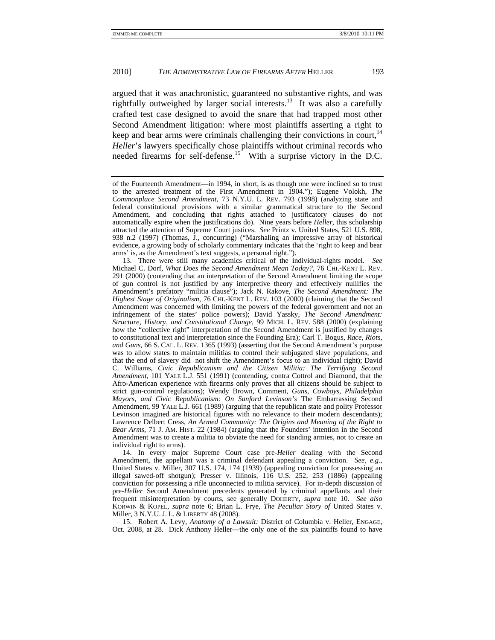argued that it was anachronistic, guaranteed no substantive rights, and was rightfully outweighed by larger social interests.<sup>13</sup> It was also a carefully crafted test case designed to avoid the snare that had trapped most other Second Amendment litigation: where most plaintiffs asserting a right to keep and bear arms were criminals challenging their convictions in court.<sup>14</sup> *Heller*'s lawyers specifically chose plaintiffs without criminal records who needed firearms for self-defense.<sup>15</sup> With a surprise victory in the D.C.

 13. There were still many academics critical of the individual-rights model. *See*  Michael C. Dorf, *What Does the Second Amendment Mean Today?*, 76 CHI.-KENT L. REV. 291 (2000) (contending that an interpretation of the Second Amendment limiting the scope of gun control is not justified by any interpretive theory and effectively nullifies the Amendment's prefatory "militia clause"); Jack N. Rakove, *The Second Amendment: The Highest Stage of Originalism*, 76 CHI.-KENT L. REV. 103 (2000) (claiming that the Second Amendment was concerned with limiting the powers of the federal government and not an infringement of the states' police powers); David Yassky, *The Second Amendment: Structure, History, and Constitutional Change*, 99 MICH. L. REV. 588 (2000) (explaining how the "collective right" interpretation of the Second Amendment is justified by changes to constitutional text and interpretation since the Founding Era); Carl T. Bogus, *Race, Riots, and Guns*, 66 S. CAL. L. REV. 1365 (1993) (asserting that the Second Amendment's purpose was to allow states to maintain militias to control their subjugated slave populations, and that the end of slavery did not shift the Amendment's focus to an individual right); David C. Williams, *Civic Republicanism and the Citizen Militia: The Terrifying Second Amendment*, 101 YALE L.J. 551 (1991) (contending, contra Cottrol and Diamond, that the Afro-American experience with firearms only proves that all citizens should be subject to strict gun-control regulations); Wendy Brown, Comment, *Guns, Cowboys, Philadelphia Mayors, and Civic Republicanism: On Sanford Levinson's* The Embarrassing Second Amendment, 99 YALE L.J. 661 (1989) (arguing that the republican state and polity Professor Levinson imagined are historical figures with no relevance to their modern descendants); Lawrence Delbert Cress, *An Armed Community: The Origins and Meaning of the Right to Bear Arms*, 71 J. AM. HIST. 22 (1984) (arguing that the Founders' intention in the Second Amendment was to create a militia to obviate the need for standing armies, not to create an individual right to arms).

 14. In every major Supreme Court case pre-*Heller* dealing with the Second Amendment, the appellant was a criminal defendant appealing a conviction. *See, e.g.*, United States v. Miller, 307 U.S. 174, 174 (1939) (appealing conviction for possessing an illegal sawed-off shotgun); Presser v. Illinois, 116 U.S. 252, 253 (1886) (appealing conviction for possessing a rifle unconnected to militia service). For in-depth discussion of pre-*Heller* Second Amendment precedents generated by criminal appellants and their frequent misinterpretation by courts, see generally DOHERTY, *supra* note 10.*See also* KORWIN & KOPEL, *supra* note 6; Brian L. Frye, *The Peculiar Story of* United States v. Miller, 3 N.Y.U.J. L. & LIBERTY 48 (2008).

 15. Robert A. Levy, *Anatomy of a Lawsuit:* District of Columbia v. Heller, ENGAGE, Oct. 2008, at 28. Dick Anthony Heller—the only one of the six plaintiffs found to have

of the Fourteenth Amendment—in 1994, in short, is as though one were inclined so to trust to the arrested treatment of the First Amendment in 1904."); Eugene Volokh, *The Commonplace Second Amendment*, 73 N.Y.U. L. REV. 793 (1998) (analyzing state and federal constitutional provisions with a similar grammatical structure to the Second Amendment, and concluding that rights attached to justificatory clauses do not automatically expire when the justifications do). Nine years before *Heller*, this scholarship attracted the attention of Supreme Court justices. *See* Printz v. United States, 521 U.S. 898, 938 n.2 (1997) (Thomas, J., concurring) ("Marshaling an impressive array of historical evidence, a growing body of scholarly commentary indicates that the 'right to keep and bear arms' is, as the Amendment's text suggests, a personal right.").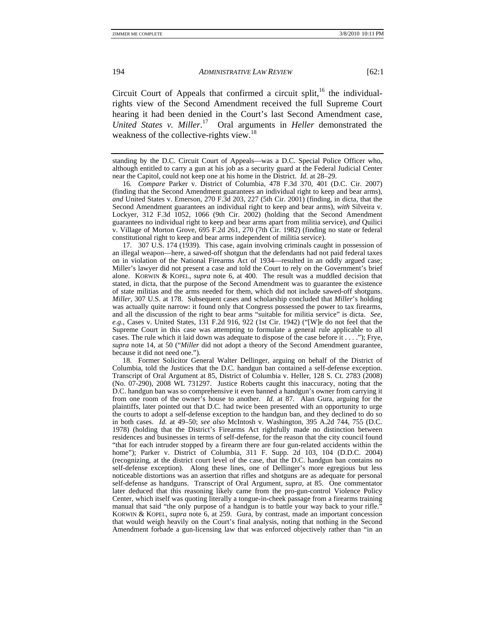Circuit Court of Appeals that confirmed a circuit split, $16$  the individualrights view of the Second Amendment received the full Supreme Court hearing it had been denied in the Court's last Second Amendment case, *United States v. Miller*. 17 Oral arguments in *Heller* demonstrated the weakness of the collective-rights view.<sup>18</sup>

16*. Compare* Parker v. District of Columbia, 478 F.3d 370, 401 (D.C. Cir. 2007) (finding that the Second Amendment guarantees an individual right to keep and bear arms), *and* United States v. Emerson, 270 F.3d 203, 227 (5th Cir. 2001) (finding, in dicta, that the Second Amendment guarantees an individual right to keep and bear arms), *with* Silveira v. Lockyer, 312 F.3d 1052, 1066 (9th Cir. 2002) (holding that the Second Amendment guarantees no individual right to keep and bear arms apart from militia service), *and* Quilici v. Village of Morton Grove, 695 F.2d 261, 270 (7th Cir. 1982) (finding no state or federal constitutional right to keep and bear arms independent of militia service).

 17. 307 U.S. 174 (1939). This case, again involving criminals caught in possession of an illegal weapon—here, a sawed-off shotgun that the defendants had not paid federal taxes on in violation of the National Firearms Act of 1934—resulted in an oddly argued case; Miller's lawyer did not present a case and told the Court to rely on the Government's brief alone. KORWIN & KOPEL, *supra* note 6, at 400. The result was a muddled decision that stated, in dicta, that the purpose of the Second Amendment was to guarantee the existence of state militias and the arms needed for them, which did not include sawed-off shotguns. *Miller*, 307 U.S. at 178. Subsequent cases and scholarship concluded that *Miller*'s holding was actually quite narrow: it found only that Congress possessed the power to tax firearms, and all the discussion of the right to bear arms "suitable for militia service" is dicta. *See, e.g.*, Cases v. United States, 131 F.2d 916, 922 (1st Cir. 1942) ("[W]e do not feel that the Supreme Court in this case was attempting to formulate a general rule applicable to all cases. The rule which it laid down was adequate to dispose of the case before it . . . ."); Frye, *supra* note 14, at 50 ("*Miller* did not adopt a theory of the Second Amendment guarantee, because it did not need one.").

 18. Former Solicitor General Walter Dellinger, arguing on behalf of the District of Columbia, told the Justices that the D.C. handgun ban contained a self-defense exception. Transcript of Oral Argument at 85, District of Columbia v. Heller, 128 S. Ct. 2783 (2008) (No. 07-290), 2008 WL 731297. Justice Roberts caught this inaccuracy, noting that the D.C. handgun ban was so comprehensive it even banned a handgun's owner from carrying it from one room of the owner's house to another. *Id.* at 87. Alan Gura, arguing for the plaintiffs, later pointed out that D.C. had twice been presented with an opportunity to urge the courts to adopt a self-defense exception to the handgun ban, and they declined to do so in both cases. *Id.* at 49–50; *see also* McIntosh v. Washington, 395 A.2d 744, 755 (D.C. 1978) (holding that the District's Firearms Act rightfully made no distinction between residences and businesses in terms of self-defense, for the reason that the city council found "that for each intruder stopped by a firearm there are four gun-related accidents within the home"); Parker v. District of Columbia, 311 F. Supp. 2d 103, 104 (D.D.C. 2004) (recognizing, at the district court level of the case, that the D.C. handgun ban contains no self-defense exception). Along these lines, one of Dellinger's more egregious but less noticeable distortions was an assertion that rifles and shotguns are as adequate for personal self-defense as handguns. Transcript of Oral Argument, *supra*, at 85. One commentator later deduced that this reasoning likely came from the pro-gun-control Violence Policy Center, which itself was quoting literally a tongue-in-cheek passage from a firearms training manual that said "the only purpose of a handgun is to battle your way back to your rifle." KORWIN & KOPEL, *supra* note 6, at 259. Gura, by contrast, made an important concession that would weigh heavily on the Court's final analysis, noting that nothing in the Second Amendment forbade a gun-licensing law that was enforced objectively rather than "in an

standing by the D.C. Circuit Court of Appeals—was a D.C. Special Police Officer who, although entitled to carry a gun at his job as a security guard at the Federal Judicial Center near the Capitol, could not keep one at his home in the District. *Id*. at 28–29.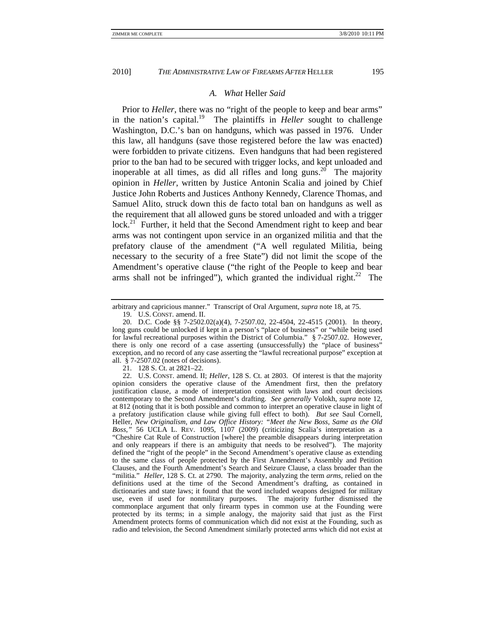# *A. What* Heller *Said*

Prior to *Heller*, there was no "right of the people to keep and bear arms" in the nation's capital.19 The plaintiffs in *Heller* sought to challenge Washington, D.C.'s ban on handguns, which was passed in 1976. Under this law, all handguns (save those registered before the law was enacted) were forbidden to private citizens. Even handguns that had been registered prior to the ban had to be secured with trigger locks, and kept unloaded and inoperable at all times, as did all rifles and long guns.<sup>20</sup> The majority opinion in *Heller*, written by Justice Antonin Scalia and joined by Chief Justice John Roberts and Justices Anthony Kennedy, Clarence Thomas, and Samuel Alito, struck down this de facto total ban on handguns as well as the requirement that all allowed guns be stored unloaded and with a trigger  $lock<sup>21</sup>$  Further, it held that the Second Amendment right to keep and bear arms was not contingent upon service in an organized militia and that the prefatory clause of the amendment ("A well regulated Militia, being necessary to the security of a free State") did not limit the scope of the Amendment's operative clause ("the right of the People to keep and bear arms shall not be infringed"), which granted the individual right.<sup>22</sup> The

21. 128 S. Ct. at 2821–22.

arbitrary and capricious manner." Transcript of Oral Argument, *supra* note 18, at 75.

 <sup>19.</sup> U.S. CONST. amend. II.

 <sup>20.</sup> D.C. Code §§ 7-2502.02(a)(4), 7-2507.02, 22-4504, 22-4515 (2001). In theory, long guns could be unlocked if kept in a person's "place of business" or "while being used for lawful recreational purposes within the District of Columbia." § 7-2507.02. However, there is only one record of a case asserting (unsuccessfully) the "place of business" exception, and no record of any case asserting the "lawful recreational purpose" exception at all. § 7-2507.02 (notes of decisions).

 <sup>22.</sup> U.S. CONST. amend. II; *Heller*, 128 S. Ct. at 2803. Of interest is that the majority opinion considers the operative clause of the Amendment first, then the prefatory justification clause, a mode of interpretation consistent with laws and court decisions contemporary to the Second Amendment's drafting. *See generally* Volokh, *supra* note 12, at 812 (noting that it is both possible and common to interpret an operative clause in light of a prefatory justification clause while giving full effect to both). *But see* Saul Cornell, Heller*, New Originalism, and Law Office History: "Meet the New Boss, Same as the Old Boss*,*"* 56 UCLA L. REV. 1095, 1107 (2009) (criticizing Scalia's interpretation as a "Cheshire Cat Rule of Construction [where] the preamble disappears during interpretation and only reappears if there is an ambiguity that needs to be resolved"). The majority defined the "right of the people" in the Second Amendment's operative clause as extending to the same class of people protected by the First Amendment's Assembly and Petition Clauses, and the Fourth Amendment's Search and Seizure Clause, a class broader than the "militia." *Heller*, 128 S. Ct. at 2790. The majority, analyzing the term *arms*, relied on the definitions used at the time of the Second Amendment's drafting, as contained in dictionaries and state laws; it found that the word included weapons designed for military use, even if used for nonmilitary purposes. The majority further dismissed the commonplace argument that only firearm types in common use at the Founding were protected by its terms; in a simple analogy, the majority said that just as the First Amendment protects forms of communication which did not exist at the Founding, such as radio and television, the Second Amendment similarly protected arms which did not exist at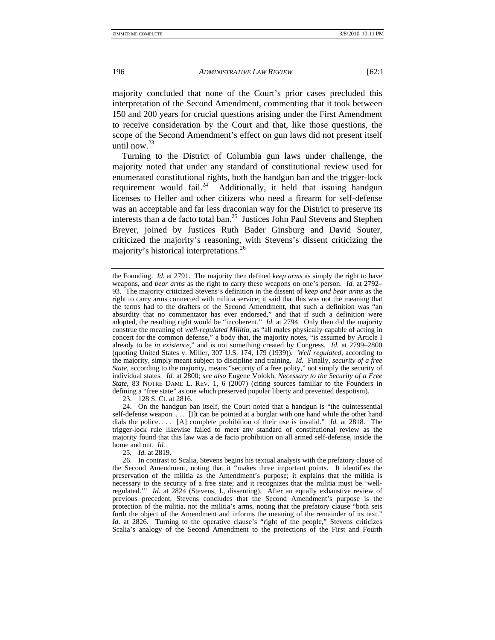majority concluded that none of the Court's prior cases precluded this interpretation of the Second Amendment, commenting that it took between 150 and 200 years for crucial questions arising under the First Amendment to receive consideration by the Court and that, like those questions, the scope of the Second Amendment's effect on gun laws did not present itself until now.<sup>23</sup>

Turning to the District of Columbia gun laws under challenge, the majority noted that under any standard of constitutional review used for enumerated constitutional rights, both the handgun ban and the trigger-lock requirement would fail.<sup>24</sup> Additionally, it held that issuing handgun licenses to Heller and other citizens who need a firearm for self-defense was an acceptable and far less draconian way for the District to preserve its interests than a de facto total ban.<sup>25</sup> Justices John Paul Stevens and Stephen Breyer, joined by Justices Ruth Bader Ginsburg and David Souter, criticized the majority's reasoning, with Stevens's dissent criticizing the majority's historical interpretations.<sup>26</sup>

23. 128 S. Ct. at 2816.

25*. Id.* at 2819.

the Founding. *Id.* at 2791. The majority then defined *keep arms* as simply the right to have weapons, and *bear arms* as the right to carry these weapons on one's person. *Id.* at 2792– 93. The majority criticized Stevens's definition in the dissent of *keep and bear arms* as the right to carry arms connected with militia service; it said that this was not the meaning that the terms had to the drafters of the Second Amendment, that such a definition was "an absurdity that no commentator has ever endorsed," and that if such a definition were adopted, the resulting right would be "incoherent." *Id.* at 2794. Only then did the majority construe the meaning of *well-regulated Militia*, as "all males physically capable of acting in concert for the common defense," a body that, the majority notes, "is assumed by Article I already to be *in existence*," and is not something created by Congress. *Id.* at 2799–2800 (quoting United States v. Miller, 307 U.S. 174, 179 (1939)). *Well regulated*, according to the majority, simply meant subject to discipline and training. *Id.* Finally, *security of a free State*, according to the majority, means "security of a free polity," not simply the security of individual states. *Id.* at 2800; *see also* Eugene Volokh, *Necessary to the Security of a Free State*, 83 NOTRE DAME L. REV. 1, 6 (2007) (citing sources familiar to the Founders in defining a "free state" as one which preserved popular liberty and prevented despotism).

 <sup>24.</sup> On the handgun ban itself, the Court noted that a handgun is "the quintessential self-defense weapon. . . . [I]t can be pointed at a burglar with one hand while the other hand dials the police. . . . [A] complete prohibition of their use is invalid." *Id.* at 2818. The trigger-lock rule likewise failed to meet any standard of constitutional review as the majority found that this law was a de facto prohibition on all armed self-defense, inside the home and out. *Id.*

 <sup>26.</sup> In contrast to Scalia, Stevens begins his textual analysis with the prefatory clause of the Second Amendment, noting that it "makes three important points. It identifies the preservation of the militia as the Amendment's purpose; it explains that the militia is necessary to the security of a free state; and it recognizes that the militia must be 'wellregulated.'" *Id*. at 2824 (Stevens, J., dissenting). After an equally exhaustive review of previous precedent, Stevens concludes that the Second Amendment's purpose is the protection of the militia, not the militia's arms, noting that the prefatory clause "both sets forth the object of the Amendment and informs the meaning of the remainder of its text." *Id.* at 2826. Turning to the operative clause's "right of the people," Stevens criticizes Scalia's analogy of the Second Amendment to the protections of the First and Fourth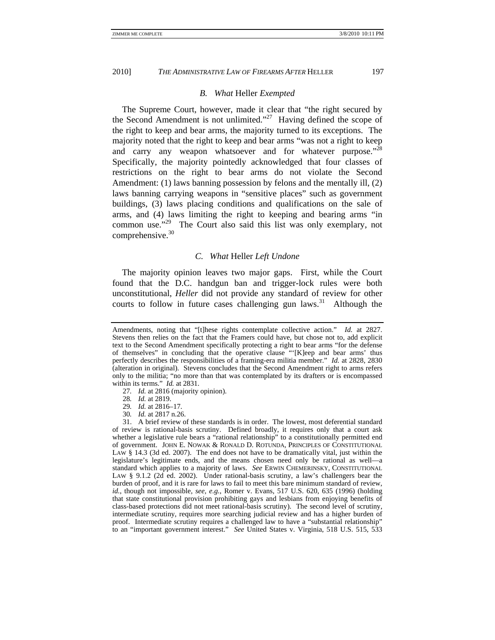#### *B. What* Heller *Exempted*

The Supreme Court, however, made it clear that "the right secured by the Second Amendment is not unlimited."<sup>27</sup> Having defined the scope of the right to keep and bear arms, the majority turned to its exceptions. The majority noted that the right to keep and bear arms "was not a right to keep and carry any weapon whatsoever and for whatever purpose."<sup>28</sup> Specifically, the majority pointedly acknowledged that four classes of restrictions on the right to bear arms do not violate the Second Amendment: (1) laws banning possession by felons and the mentally ill, (2) laws banning carrying weapons in "sensitive places" such as government buildings, (3) laws placing conditions and qualifications on the sale of arms, and (4) laws limiting the right to keeping and bearing arms "in common use."<sup>29</sup> The Court also said this list was only exemplary, not comprehensive.<sup>30</sup>

#### *C. What* Heller *Left Undone*

The majority opinion leaves two major gaps. First, while the Court found that the D.C. handgun ban and trigger-lock rules were both unconstitutional, *Heller* did not provide any standard of review for other courts to follow in future cases challenging gun laws.<sup>31</sup> Although the

- 27*. Id.* at 2816 (majority opinion).
- 28*. Id.* at 2819.
- 29*. Id.* at 2816–17.
- 30*. Id.* at 2817 n.26.

Amendments, noting that "[t]hese rights contemplate collective action." *Id.* at 2827. Stevens then relies on the fact that the Framers could have, but chose not to, add explicit text to the Second Amendment specifically protecting a right to bear arms "for the defense of themselves" in concluding that the operative clause "'[K]eep and bear arms' thus perfectly describes the responsibilities of a framing-era militia member." *Id.* at 2828, 2830 (alteration in original). Stevens concludes that the Second Amendment right to arms refers only to the militia; "no more than that was contemplated by its drafters or is encompassed within its terms." *Id.* at 2831.

 <sup>31.</sup> A brief review of these standards is in order. The lowest, most deferential standard of review is rational-basis scrutiny. Defined broadly, it requires only that a court ask whether a legislative rule bears a "rational relationship" to a constitutionally permitted end of government. JOHN E. NOWAK & RONALD D. ROTUNDA, PRINCIPLES OF CONSTITUTIONAL LAW § 14.3 (3d ed. 2007). The end does not have to be dramatically vital, just within the legislature's legitimate ends, and the means chosen need only be rational as well—a standard which applies to a majority of laws. *See* ERWIN CHEMERINSKY, CONSTITUTIONAL LAW § 9.1.2 (2d ed. 2002). Under rational-basis scrutiny, a law's challengers bear the burden of proof, and it is rare for laws to fail to meet this bare minimum standard of review, *id.*, though not impossible, *see, e.g.*, Romer v. Evans, 517 U.S. 620, 635 (1996) (holding that state constitutional provision prohibiting gays and lesbians from enjoying benefits of class-based protections did not meet rational-basis scrutiny). The second level of scrutiny, intermediate scrutiny, requires more searching judicial review and has a higher burden of proof. Intermediate scrutiny requires a challenged law to have a "substantial relationship" to an "important government interest." *See* United States v. Virginia, 518 U.S. 515, 533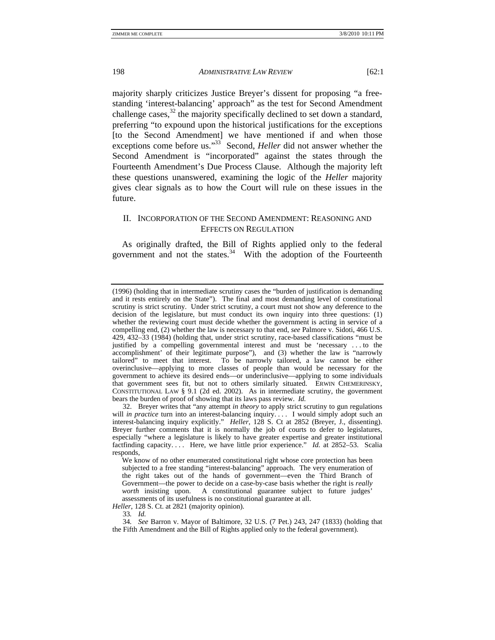majority sharply criticizes Justice Breyer's dissent for proposing "a freestanding 'interest-balancing' approach" as the test for Second Amendment challenge cases, $32$  the majority specifically declined to set down a standard, preferring "to expound upon the historical justifications for the exceptions [to the Second Amendment] we have mentioned if and when those exceptions come before us."<sup>33</sup> Second, *Heller* did not answer whether the Second Amendment is "incorporated" against the states through the Fourteenth Amendment's Due Process Clause. Although the majority left these questions unanswered, examining the logic of the *Heller* majority gives clear signals as to how the Court will rule on these issues in the future.

# II. INCORPORATION OF THE SECOND AMENDMENT: REASONING AND EFFECTS ON REGULATION

As originally drafted, the Bill of Rights applied only to the federal government and not the states.<sup>34</sup> With the adoption of the Fourteenth

<sup>(1996) (</sup>holding that in intermediate scrutiny cases the "burden of justification is demanding and it rests entirely on the State"). The final and most demanding level of constitutional scrutiny is strict scrutiny. Under strict scrutiny, a court must not show any deference to the decision of the legislature, but must conduct its own inquiry into three questions: (1) whether the reviewing court must decide whether the government is acting in service of a compelling end, (2) whether the law is necessary to that end, *see* Palmore v. Sidoti, 466 U.S. 429, 432–33 (1984) (holding that, under strict scrutiny, race-based classifications "must be justified by a compelling governmental interest and must be 'necessary . . . to the accomplishment' of their legitimate purpose"), and (3) whether the law is "narrowly tailored" to meet that interest. To be narrowly tailored, a law cannot be either overinclusive—applying to more classes of people than would be necessary for the government to achieve its desired ends—or underinclusive—applying to some individuals that government sees fit, but not to others similarly situated. ERWIN CHEMERINSKY, CONSTITUTIONAL LAW § 9.1 (2d ed. 2002). As in intermediate scrutiny, the government bears the burden of proof of showing that its laws pass review. *Id.* 

 <sup>32.</sup> Breyer writes that "any attempt *in theory* to apply strict scrutiny to gun regulations will *in practice* turn into an interest-balancing inquiry. . . . I would simply adopt such an interest-balancing inquiry explicitly." *Heller*, 128 S. Ct at 2852 (Breyer, J., dissenting). Breyer further comments that it is normally the job of courts to defer to legislatures, especially "where a legislature is likely to have greater expertise and greater institutional factfinding capacity. . . . Here, we have little prior experience." *Id.* at 2852–53. Scalia responds,

We know of no other enumerated constitutional right whose core protection has been subjected to a free standing "interest-balancing" approach. The very enumeration of the right takes out of the hands of government—even the Third Branch of Government—the power to decide on a case-by-case basis whether the right is *really worth* insisting upon. A constitutional guarantee subject to future judges' assessments of its usefulness is no constitutional guarantee at all.

*Heller*, 128 S. Ct. at 2821 (majority opinion).

<sup>33</sup>*. Id.*

<sup>34</sup>*. See* Barron v. Mayor of Baltimore, 32 U.S. (7 Pet.) 243, 247 (1833) (holding that the Fifth Amendment and the Bill of Rights applied only to the federal government).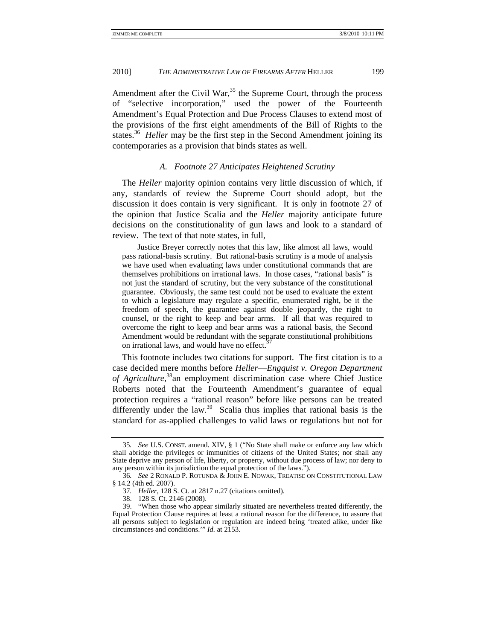Amendment after the Civil War,  $35$  the Supreme Court, through the process of "selective incorporation," used the power of the Fourteenth Amendment's Equal Protection and Due Process Clauses to extend most of the provisions of the first eight amendments of the Bill of Rights to the states.<sup>36</sup> *Heller* may be the first step in the Second Amendment joining its contemporaries as a provision that binds states as well.

# *A. Footnote 27 Anticipates Heightened Scrutiny*

The *Heller* majority opinion contains very little discussion of which, if any, standards of review the Supreme Court should adopt, but the discussion it does contain is very significant. It is only in footnote 27 of the opinion that Justice Scalia and the *Heller* majority anticipate future decisions on the constitutionality of gun laws and look to a standard of review. The text of that note states, in full,

 Justice Breyer correctly notes that this law, like almost all laws, would pass rational-basis scrutiny. But rational-basis scrutiny is a mode of analysis we have used when evaluating laws under constitutional commands that are themselves prohibitions on irrational laws. In those cases, "rational basis" is not just the standard of scrutiny, but the very substance of the constitutional guarantee. Obviously, the same test could not be used to evaluate the extent to which a legislature may regulate a specific, enumerated right, be it the freedom of speech, the guarantee against double jeopardy, the right to counsel, or the right to keep and bear arms. If all that was required to overcome the right to keep and bear arms was a rational basis, the Second Amendment would be redundant with the separate constitutional prohibitions on irrational laws, and would have no effect.<sup>3</sup>

This footnote includes two citations for support. The first citation is to a case decided mere months before *Heller*—*Engquist v. Oregon Department of Agriculture*, 38an employment discrimination case where Chief Justice Roberts noted that the Fourteenth Amendment's guarantee of equal protection requires a "rational reason" before like persons can be treated differently under the law.<sup>39</sup> Scalia thus implies that rational basis is the standard for as-applied challenges to valid laws or regulations but not for

<sup>35</sup>*. See* U.S. CONST. amend. XIV, § 1 ("No State shall make or enforce any law which shall abridge the privileges or immunities of citizens of the United States; nor shall any State deprive any person of life, liberty, or property, without due process of law; nor deny to any person within its jurisdiction the equal protection of the laws.").

<sup>36</sup>*. See* 2 RONALD P. ROTUNDA & JOHN E. NOWAK, TREATISE ON CONSTITUTIONAL LAW § 14.2 (4th ed. 2007).

<sup>37</sup>*. Heller*, 128 S. Ct. at 2817 n.27 (citations omitted).

 <sup>38. 128</sup> S. Ct. 2146 (2008).

 <sup>39. &</sup>quot;When those who appear similarly situated are nevertheless treated differently, the Equal Protection Clause requires at least a rational reason for the difference, to assure that all persons subject to legislation or regulation are indeed being 'treated alike, under like circumstances and conditions.'" *Id.* at 2153.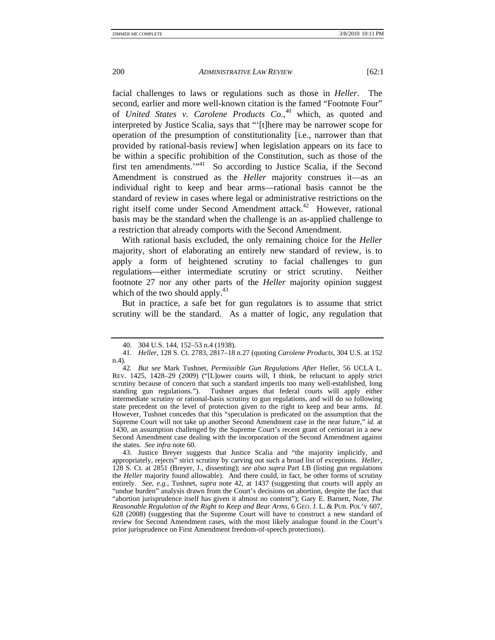facial challenges to laws or regulations such as those in *Heller*. The second, earlier and more well-known citation is the famed "Footnote Four" of *United States v. Carolene Products Co.*, 40 which, as quoted and interpreted by Justice Scalia, says that "'[t]here may be narrower scope for operation of the presumption of constitutionality [i.e., narrower than that provided by rational-basis review] when legislation appears on its face to be within a specific prohibition of the Constitution, such as those of the first ten amendments.<sup>'"41</sup> So according to Justice Scalia, if the Second Amendment is construed as the *Heller* majority construes it—as an individual right to keep and bear arms—rational basis cannot be the standard of review in cases where legal or administrative restrictions on the right itself come under Second Amendment attack.<sup>42</sup> However, rational basis may be the standard when the challenge is an as-applied challenge to a restriction that already comports with the Second Amendment.

With rational basis excluded, the only remaining choice for the *Heller* majority, short of elaborating an entirely new standard of review, is to apply a form of heightened scrutiny to facial challenges to gun regulations—either intermediate scrutiny or strict scrutiny. Neither footnote 27 nor any other parts of the *Heller* majority opinion suggest which of the two should apply.<sup>43</sup>

But in practice, a safe bet for gun regulators is to assume that strict scrutiny will be the standard. As a matter of logic, any regulation that

 <sup>40. 304</sup> U.S. 144, 152–53 n.4 (1938).

<sup>41</sup>*. Heller*, 128 S. Ct. 2783, 2817–18 n.27 (quoting *Carolene Products*, 304 U.S. at 152 n.4).

<sup>42</sup>*. But see* Mark Tushnet, *Permissible Gun Regulations After* Heller, 56 UCLA L. REV. 1425, 1428–29 (2009) ("[L]ower courts will, I think, be reluctant to apply strict scrutiny because of concern that such a standard imperils too many well-established, long standing gun regulations."). Tushnet argues that federal courts will apply either intermediate scrutiny or rational-basis scrutiny to gun regulations, and will do so following state precedent on the level of protection given to the right to keep and bear arms. *Id*. However, Tushnet concedes that this "speculation is predicated on the assumption that the Supreme Court will not take up another Second Amendment case in the near future," *id.* at 1430, an assumption challenged by the Supreme Court's recent grant of certiorari in a new Second Amendment case dealing with the incorporation of the Second Amendment against the states. *See infra* note 60.

 <sup>43.</sup> Justice Breyer suggests that Justice Scalia and "the majority implicitly, and appropriately, rejects" strict scrutiny by carving out such a broad list of exceptions. *Heller*, 128 S. Ct. at 2851 (Breyer, J., dissenting); *see also supra* Part I.B (listing gun regulations the *Heller* majority found allowable). And there could, in fact, be other forms of scrutiny entirely. *See, e.g.*, Tushnet, *supra* note 42, at 1437 (suggesting that courts will apply an "undue burden" analysis drawn from the Court's decisions on abortion, despite the fact that "abortion jurisprudence itself has given it almost no content"); Gary E. Barnett, Note, *The Reasonable Regulation of the Right to Keep and Bear Arms*, 6 GEO. J. L. & PUB. POL'Y 607, 628 (2008) (suggesting that the Supreme Court will have to construct a new standard of review for Second Amendment cases, with the most likely analogue found in the Court's prior jurisprudence on First Amendment freedom-of-speech protections).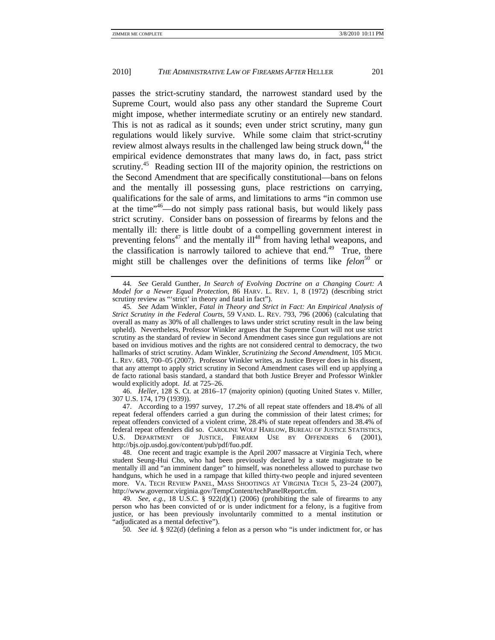passes the strict-scrutiny standard, the narrowest standard used by the Supreme Court, would also pass any other standard the Supreme Court might impose, whether intermediate scrutiny or an entirely new standard. This is not as radical as it sounds; even under strict scrutiny, many gun regulations would likely survive. While some claim that strict-scrutiny review almost always results in the challenged law being struck down,<sup>44</sup> the empirical evidence demonstrates that many laws do, in fact, pass strict scrutiny.<sup>45</sup> Reading section III of the majority opinion, the restrictions on the Second Amendment that are specifically constitutional—bans on felons and the mentally ill possessing guns, place restrictions on carrying, qualifications for the sale of arms, and limitations to arms "in common use at the time"46—do not simply pass rational basis, but would likely pass strict scrutiny. Consider bans on possession of firearms by felons and the mentally ill: there is little doubt of a compelling government interest in preventing felons<sup>47</sup> and the mentally  $i\mathbb{I}^{48}$  from having lethal weapons, and the classification is narrowly tailored to achieve that end.<sup>49</sup> True, there might still be challenges over the definitions of terms like *felon*<sup>50</sup> or

 46. *Heller*, 128 S. Ct. at 2816–17 (majority opinion) (quoting United States v. Miller, 307 U.S. 174, 179 (1939)).

<sup>44</sup>*. See* Gerald Gunther, *In Search of Evolving Doctrine on a Changing Court: A Model for a Newer Equal Protection*, 86 HARV. L. REV. 1, 8 (1972) (describing strict scrutiny review as "'strict' in theory and fatal in fact").

<sup>45</sup>*. See* Adam Winkler, *Fatal in Theory and Strict in Fact: An Empirical Analysis of Strict Scrutiny in the Federal Courts*, 59 VAND. L. REV. 793, 796 (2006) (calculating that overall as many as 30% of all challenges to laws under strict scrutiny result in the law being upheld). Nevertheless, Professor Winkler argues that the Supreme Court will not use strict scrutiny as the standard of review in Second Amendment cases since gun regulations are not based on invidious motives and the rights are not considered central to democracy, the two hallmarks of strict scrutiny. Adam Winkler, *Scrutinizing the Second Amendment*, 105 MICH. L. REV. 683, 700–05 (2007). Professor Winkler writes, as Justice Breyer does in his dissent, that any attempt to apply strict scrutiny in Second Amendment cases will end up applying a de facto rational basis standard, a standard that both Justice Breyer and Professor Winkler would explicitly adopt. *Id.* at 725–26.

 <sup>47.</sup> According to a 1997 survey, 17.2% of all repeat state offenders and 18.4% of all repeat federal offenders carried a gun during the commission of their latest crimes; for repeat offenders convicted of a violent crime, 28.4% of state repeat offenders and 38.4% of federal repeat offenders did so. CAROLINE WOLF HARLOW, BUREAU OF JUSTICE STATISTICS, U.S. DEPARTMENT OF JUSTICE, FIREARM USE BY OFFENDERS 6 (2001), http://bjs.ojp.usdoj.gov/content/pub/pdf/fuo.pdf.

 <sup>48.</sup> One recent and tragic example is the April 2007 massacre at Virginia Tech, where student Seung-Hui Cho, who had been previously declared by a state magistrate to be mentally ill and "an imminent danger" to himself, was nonetheless allowed to purchase two handguns, which he used in a rampage that killed thirty-two people and injured seventeen more. VA. TECH REVIEW PANEL, MASS SHOOTINGS AT VIRGINIA TECH 5, 23–24 (2007), http://www.governor.virginia.gov/TempContent/techPanelReport.cfm.

<sup>49.</sup> See, e.g., 18 U.S.C.  $\S$  922(d)(1) (2006) (prohibiting the sale of firearms to any person who has been convicted of or is under indictment for a felony, is a fugitive from justice, or has been previously involuntarily committed to a mental institution or "adjudicated as a mental defective").

<sup>50</sup>*. See id.* § 922(d) (defining a felon as a person who "is under indictment for, or has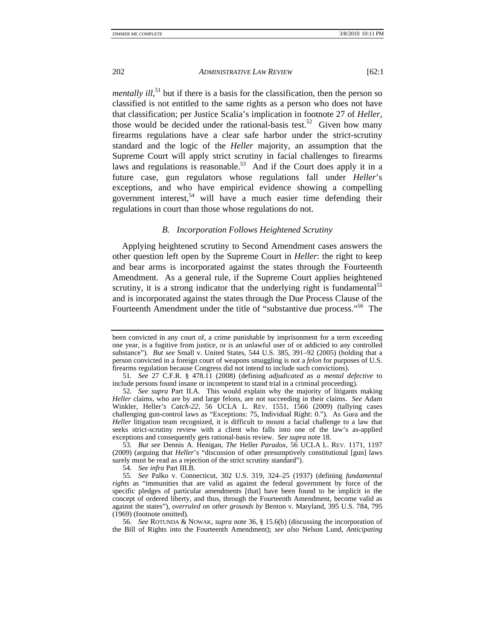*mentally ill*,<sup>51</sup> but if there is a basis for the classification, then the person so classified is not entitled to the same rights as a person who does not have that classification; per Justice Scalia's implication in footnote 27 of *Heller*, those would be decided under the rational-basis test.<sup>52</sup> Given how many firearms regulations have a clear safe harbor under the strict-scrutiny standard and the logic of the *Heller* majority, an assumption that the Supreme Court will apply strict scrutiny in facial challenges to firearms laws and regulations is reasonable.<sup>53</sup> And if the Court does apply it in a future case, gun regulators whose regulations fall under *Heller*'s exceptions, and who have empirical evidence showing a compelling government interest,<sup>54</sup> will have a much easier time defending their regulations in court than those whose regulations do not.

### *B. Incorporation Follows Heightened Scrutiny*

Applying heightened scrutiny to Second Amendment cases answers the other question left open by the Supreme Court in *Heller*: the right to keep and bear arms is incorporated against the states through the Fourteenth Amendment. As a general rule, if the Supreme Court applies heightened scrutiny, it is a strong indicator that the underlying right is fundamental<sup>55</sup> and is incorporated against the states through the Due Process Clause of the Fourteenth Amendment under the title of "substantive due process."<sup>56</sup> The

been convicted in any court of, a crime punishable by imprisonment for a term exceeding one year, is a fugitive from justice, or is an unlawful user of or addicted to any controlled substance"). *But see* Small v. United States, 544 U.S. 385, 391–92 (2005) (holding that a person convicted in a foreign court of weapons smuggling is not a *felon* for purposes of U.S. firearms regulation because Congress did not intend to include such convictions).

<sup>51</sup>*. See* 27 C.F.R. § 478.11 (2008) (defining *adjudicated as a mental defective* to include persons found insane or incompetent to stand trial in a criminal proceeding).

<sup>52</sup>*. See supra* Part II.A*.* This would explain why the majority of litigants making *Heller* claims, who are by and large felons, are not succeeding in their claims. *See* Adam Winkler, Heller*'s Catch-22*, 56 UCLA L. REV. 1551, 1566 (2009) (tallying cases challenging gun-control laws as "Exceptions: 75, Individual Right: 0."). As Gura and the *Heller* litigation team recognized, it is difficult to mount a facial challenge to a law that seeks strict-scrutiny review with a client who falls into one of the law's as-applied exceptions and consequently gets rational-basis review. *See supra* note 18*.*

<sup>53</sup>*. But see* Dennis A. Henigan, *The* Heller *Paradox*, 56 UCLA L. REV. 1171, 1197 (2009) (arguing that *Heller*'s "discussion of other presumptively constitutional [gun] laws surely must be read as a rejection of the strict scrutiny standard").

<sup>54</sup>*. See infra* Part III.B*.*

<sup>55</sup>*. See* Palko v. Connecticut, 302 U.S. 319, 324–25 (1937) (defining *fundamental rights* as "immunities that are valid as against the federal government by force of the specific pledges of particular amendments [that] have been found to be implicit in the concept of ordered liberty, and thus, through the Fourteenth Amendment, become valid as against the states"), *overruled on other grounds by* Benton v. Maryland, 395 U.S. 784, 795 (1969) (footnote omitted).

<sup>56</sup>*. See* ROTUNDA & NOWAK, *supra* note 36, § 15.6(b) (discussing the incorporation of the Bill of Rights into the Fourteenth Amendment); *see also* Nelson Lund, *Anticipating*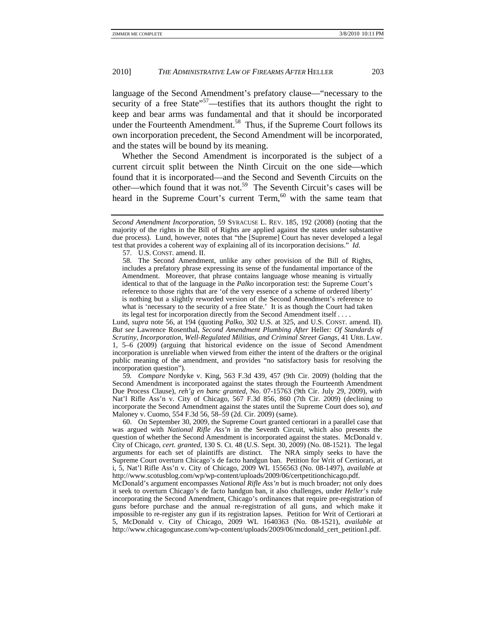language of the Second Amendment's prefatory clause—"necessary to the security of a free State<sup> $57$ </sup>—testifies that its authors thought the right to keep and bear arms was fundamental and that it should be incorporated under the Fourteenth Amendment.<sup>58</sup> Thus, if the Supreme Court follows its own incorporation precedent, the Second Amendment will be incorporated, and the states will be bound by its meaning.

Whether the Second Amendment is incorporated is the subject of a current circuit split between the Ninth Circuit on the one side—which found that it is incorporated—and the Second and Seventh Circuits on the other—which found that it was not.<sup>59</sup> The Seventh Circuit's cases will be heard in the Supreme Court's current Term,<sup>60</sup> with the same team that

57. U.S. CONST. amend. II.

 58. The Second Amendment, unlike any other provision of the Bill of Rights, includes a prefatory phrase expressing its sense of the fundamental importance of the Amendment. Moreover, that phrase contains language whose meaning is virtually identical to that of the language in the *Palko* incorporation test: the Supreme Court's reference to those rights that are 'of the very essence of a scheme of ordered liberty' is nothing but a slightly reworded version of the Second Amendment's reference to what is 'necessary to the security of a free State.' It is as though the Court had taken its legal test for incorporation directly from the Second Amendment itself . . . .

Lund, *supra* note 56, at 194 (quoting *Palko*, 302 U.S. at 325, and U.S. CONST. amend. II). *But see* Lawrence Rosenthal, *Second Amendment Plumbing After* Heller*: Of Standards of Scrutiny, Incorporation, Well-Regulated Militias, and Criminal Street Gangs*, 41 URB. LAW. 1, 5–6 (2009) (arguing that historical evidence on the issue of Second Amendment incorporation is unreliable when viewed from either the intent of the drafters or the original public meaning of the amendment, and provides "no satisfactory basis for resolving the incorporation question").

59*. Compare* Nordyke v. King, 563 F.3d 439, 457 (9th Cir. 2009) (holding that the Second Amendment is incorporated against the states through the Fourteenth Amendment Due Process Clause), *reh'g en banc granted*, No. 07-15763 (9th Cir. July 29, 2009), *with* Nat'l Rifle Ass'n v. City of Chicago, 567 F.3d 856, 860 (7th Cir. 2009) (declining to incorporate the Second Amendment against the states until the Supreme Court does so), *and* Maloney v. Cuomo, 554 F.3d 56, 58–59 (2d. Cir. 2009) (same).

 60. On September 30, 2009, the Supreme Court granted certiorari in a parallel case that was argued with *National Rifle Ass'n* in the Seventh Circuit, which also presents the question of whether the Second Amendment is incorporated against the states. McDonald v. City of Chicago, *cert. granted*, 130 S. Ct. 48 (U.S. Sept. 30, 2009) (No. 08-1521). The legal arguments for each set of plaintiffs are distinct. The NRA simply seeks to have the Supreme Court overturn Chicago's de facto handgun ban. Petition for Writ of Certiorari, at i, 5, Nat'l Rifle Ass'n v. City of Chicago, 2009 WL 1556563 (No. 08-1497), *available at* http://www.scotusblog.com/wp/wp-content/uploads/2009/06/certpetitionchicago.pdf.

McDonald's argument encompasses *National Rifle Ass'n* but is much broader; not only does it seek to overturn Chicago's de facto handgun ban, it also challenges, under *Heller*'s rule incorporating the Second Amendment, Chicago's ordinances that require pre-registration of guns before purchase and the annual re-registration of all guns, and which make it impossible to re-register any gun if its registration lapses. Petition for Writ of Certiorari at 5, McDonald v. City of Chicago, 2009 WL 1640363 (No. 08-1521), *available at* http://www.chicagoguncase.com/wp-content/uploads/2009/06/mcdonald\_cert\_petition1.pdf.

*Second Amendment Incorporation*, 59 SYRACUSE L. REV. 185, 192 (2008) (noting that the majority of the rights in the Bill of Rights are applied against the states under substantive due process). Lund, however, notes that "the [Supreme] Court has never developed a legal test that provides a coherent way of explaining all of its incorporation decisions." *Id.*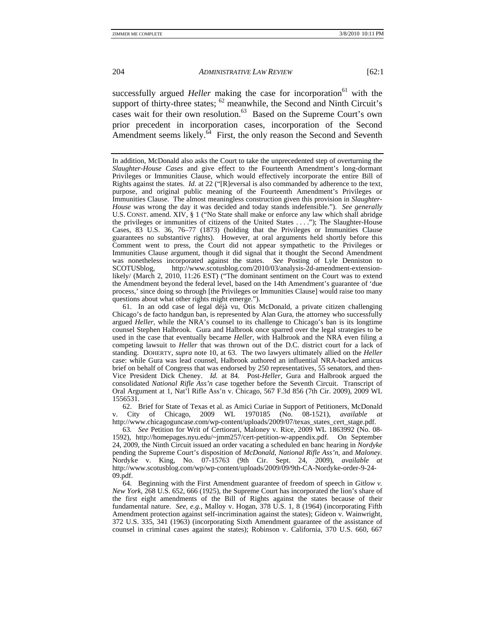successfully argued *Heller* making the case for incorporation<sup>61</sup> with the support of thirty-three states;  $62$  meanwhile, the Second and Ninth Circuit's cases wait for their own resolution.63 Based on the Supreme Court's own prior precedent in incorporation cases, incorporation of the Second Amendment seems likely. $64$  First, the only reason the Second and Seventh

In addition, McDonald also asks the Court to take the unprecedented step of overturning the *Slaughter-House Cases* and give effect to the Fourteenth Amendment's long-dormant Privileges or Immunities Clause, which would effectively incorporate the entire Bill of Rights against the states. *Id.* at 22 ("[R]eversal is also commanded by adherence to the text, purpose, and original public meaning of the Fourteenth Amendment's Privileges or Immunities Clause. The almost meaningless construction given this provision in *Slaughter-House* was wrong the day it was decided and today stands indefensible."). *See generally* U.S. CONST. amend. XIV, § 1 ("No State shall make or enforce any law which shall abridge the privileges or immunities of citizens of the United States . . . ."); The Slaughter-House Cases, 83 U.S. 36, 76–77 (1873) (holding that the Privileges or Immunities Clause guarantees no substantive rights). However, at oral arguments held shortly before this Comment went to press, the Court did not appear sympathetic to the Privileges or Immunities Clause argument, though it did signal that it thought the Second Amendment was nonetheless incorporated against the states. *See* Posting of Lyle Denniston to SCOTUSblog, http://www.scotusblog.com/2010/03/analysis-2d-amendment-extensionhttp://www.scotusblog.com/2010/03/analysis-2d-amendment-extensionlikely/ (March 2, 2010, 11:26 EST) ("The dominant sentiment on the Court was to extend the Amendment beyond the federal level, based on the 14th Amendment's guarantee of 'due process,' since doing so through [the Privileges or Immunities Clause] would raise too many questions about what other rights might emerge.").

 61. In an odd case of legal déjà vu, Otis McDonald, a private citizen challenging Chicago's de facto handgun ban, is represented by Alan Gura, the attorney who successfully argued *Heller*, while the NRA's counsel to its challenge to Chicago's ban is its longtime counsel Stephen Halbrook. Gura and Halbrook once sparred over the legal strategies to be used in the case that eventually became *Heller*, with Halbrook and the NRA even filing a competing lawsuit to *Heller* that was thrown out of the D.C. district court for a lack of standing. DOHERTY, *supra* note 10, at 63. The two lawyers ultimately allied on the *Heller* case: while Gura was lead counsel, Halbrook authored an influential NRA-backed amicus brief on behalf of Congress that was endorsed by 250 representatives, 55 senators, and then-Vice President Dick Cheney. *Id.* at 84. Post-*Heller*, Gura and Halbrook argued the consolidated *National Rifle Ass'n* case together before the Seventh Circuit. Transcript of Oral Argument at 1, Nat'l Rifle Ass'n v. Chicago, 567 F.3d 856 (7th Cir. 2009), 2009 WL 1556531.

 62. Brief for State of Texas et al. as Amici Curiae in Support of Petitioners, McDonald v. City of Chicago, 2009 WL 1970185 (No. 08-1521), *available at* http://www.chicagoguncase.com/wp-content/uploads/2009/07/texas\_states\_cert\_stage.pdf.

63*. See* Petition for Writ of Certiorari, Maloney v. Rice, 2009 WL 1863992 (No. 08- 1592), http://homepages.nyu.edu/~jmm257/cert-petition-w-appendix.pdf. On September 24, 2009, the Ninth Circuit issued an order vacating a scheduled en banc hearing in *Nordyke* pending the Supreme Court's disposition of *McDonald*, *National Rifle Ass'n*, and *Maloney.* Nordyke v. King, No. 07-15763 (9th Cir. Sept. 24, 2009), *available at* http://www.scotusblog.com/wp/wp-content/uploads/2009/09/9th-CA-Nordyke-order-9-24- 09.pdf.

 64. Beginning with the First Amendment guarantee of freedom of speech in *Gitlow v. New York*, 268 U.S. 652, 666 (1925), the Supreme Court has incorporated the lion's share of the first eight amendments of the Bill of Rights against the states because of their fundamental nature. *See, e.g.*, Malloy v. Hogan, 378 U.S. 1, 8 (1964) (incorporating Fifth Amendment protection against self-incrimination against the states); Gideon v. Wainwright, 372 U.S. 335, 341 (1963) (incorporating Sixth Amendment guarantee of the assistance of counsel in criminal cases against the states); Robinson v. California, 370 U.S. 660, 667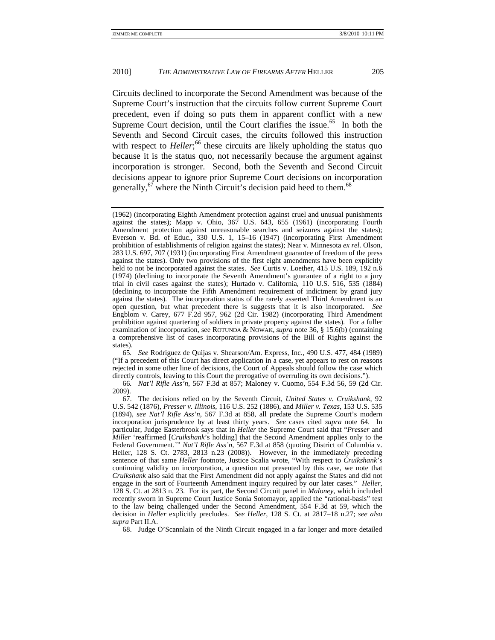Circuits declined to incorporate the Second Amendment was because of the Supreme Court's instruction that the circuits follow current Supreme Court precedent, even if doing so puts them in apparent conflict with a new Supreme Court decision, until the Court clarifies the issue.<sup>65</sup> In both the Seventh and Second Circuit cases, the circuits followed this instruction with respect to *Heller*;<sup>66</sup> these circuits are likely upholding the status quo because it is the status quo, not necessarily because the argument against incorporation is stronger. Second, both the Seventh and Second Circuit decisions appear to ignore prior Supreme Court decisions on incorporation generally,  $67$  where the Ninth Circuit's decision paid heed to them.  $68$ 

65*. See* Rodriguez de Quijas v. Shearson/Am. Express, Inc., 490 U.S. 477, 484 (1989) ("If a precedent of this Court has direct application in a case, yet appears to rest on reasons rejected in some other line of decisions, the Court of Appeals should follow the case which directly controls, leaving to this Court the prerogative of overruling its own decisions.").

66*. Nat'l Rifle Ass'n*, 567 F.3d at 857; Maloney v. Cuomo, 554 F.3d 56, 59 (2d Cir. 2009).

68. Judge O'Scannlain of the Ninth Circuit engaged in a far longer and more detailed

<sup>(1962) (</sup>incorporating Eighth Amendment protection against cruel and unusual punishments against the states); Mapp v. Ohio, 367 U.S. 643, 655 (1961) (incorporating Fourth Amendment protection against unreasonable searches and seizures against the states); Everson v. Bd. of Educ., 330 U.S. 1, 15–16 (1947) (incorporating First Amendment prohibition of establishments of religion against the states); Near v. Minnesota *ex rel.* Olson, 283 U.S. 697, 707 (1931) (incorporating First Amendment guarantee of freedom of the press against the states). Only two provisions of the first eight amendments have been explicitly held to not be incorporated against the states. *See* Curtis v. Loether, 415 U.S. 189, 192 n.6 (1974) (declining to incorporate the Seventh Amendment's guarantee of a right to a jury trial in civil cases against the states); Hurtado v. California, 110 U.S. 516, 535 (1884) (declining to incorporate the Fifth Amendment requirement of indictment by grand jury against the states). The incorporation status of the rarely asserted Third Amendment is an open question, but what precedent there is suggests that it is also incorporated. *See* Engblom v. Carey, 677 F.2d 957, 962 (2d Cir. 1982) (incorporating Third Amendment prohibition against quartering of soldiers in private property against the states). For a fuller examination of incorporation, see ROTUNDA & NOWAK, *supra* note 36, § 15.6(b) (containing a comprehensive list of cases incorporating provisions of the Bill of Rights against the states).

 <sup>67.</sup> The decisions relied on by the Seventh Circuit, *United States v. Cruikshank*, 92 U.S. 542 (1876), *Presser v. Illinois*, 116 U.S. 252 (1886), and *Miller v. Texas*, 153 U.S. 535 (1894), *see Nat'l Rifle Ass'n*, 567 F.3d at 858, all predate the Supreme Court's modern incorporation jurisprudence by at least thirty years. *See* cases cited *supra* note 64. In particular, Judge Easterbrook says that in *Heller* the Supreme Court said that "*Presser* and *Miller* 'reaffirmed [*Cruikshank*'s holding] that the Second Amendment applies only to the Federal Government.'" *Nat'l Rifle Ass'n*, 567 F.3d at 858 (quoting District of Columbia v. Heller, 128 S. Ct. 2783, 2813 n.23 (2008)). However, in the immediately preceding sentence of that same *Heller* footnote, Justice Scalia wrote, "With respect to *Cruikshank*'s continuing validity on incorporation, a question not presented by this case, we note that *Cruikshank* also said that the First Amendment did not apply against the States and did not engage in the sort of Fourteenth Amendment inquiry required by our later cases." *Heller*, 128 S. Ct. at 2813 n. 23. For its part, the Second Circuit panel in *Maloney*, which included recently sworn in Supreme Court Justice Sonia Sotomayor, applied the "rational-basis" test to the law being challenged under the Second Amendment, 554 F.3d at 59, which the decision in *Heller* explicitly precludes. *See Heller*, 128 S. Ct. at 2817–18 n.27; *see also supra* Part II.A.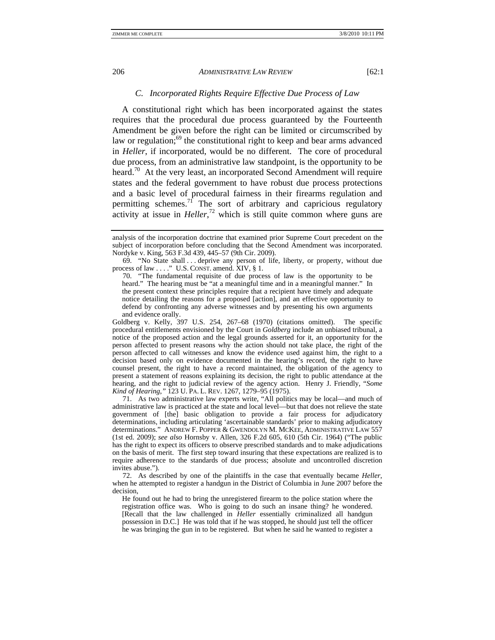# *C. Incorporated Rights Require Effective Due Process of Law*

A constitutional right which has been incorporated against the states requires that the procedural due process guaranteed by the Fourteenth Amendment be given before the right can be limited or circumscribed by law or regulation; $69$  the constitutional right to keep and bear arms advanced in *Heller*, if incorporated, would be no different. The core of procedural due process, from an administrative law standpoint, is the opportunity to be heard.<sup>70</sup> At the very least, an incorporated Second Amendment will require states and the federal government to have robust due process protections and a basic level of procedural fairness in their firearms regulation and permitting schemes.<sup>71</sup> The sort of arbitrary and capricious regulatory activity at issue in *Heller*, 72 which is still quite common where guns are

Goldberg v. Kelly, 397 U.S. 254, 267–68 (1970) (citations omitted). The specific procedural entitlements envisioned by the Court in *Goldberg* include an unbiased tribunal, a notice of the proposed action and the legal grounds asserted for it, an opportunity for the person affected to present reasons why the action should not take place, the right of the person affected to call witnesses and know the evidence used against him, the right to a decision based only on evidence documented in the hearing's record, the right to have counsel present, the right to have a record maintained, the obligation of the agency to present a statement of reasons explaining its decision, the right to public attendance at the hearing, and the right to judicial review of the agency action. Henry J. Friendly, "*Some Kind of Hearing*,*"* 123 U. PA. L. REV. 1267, 1279–95 (1975).

 71. As two administrative law experts write, "All politics may be local—and much of administrative law is practiced at the state and local level—but that does not relieve the state government of [the] basic obligation to provide a fair process for adjudicatory determinations, including articulating 'ascertainable standards' prior to making adjudicatory determinations." ANDREW F. POPPER & GWENDOLYN M. MCKEE, ADMINISTRATIVE LAW 557 (1st ed. 2009); *see also* Hornsby v. Allen, 326 F.2d 605, 610 (5th Cir. 1964) ("The public has the right to expect its officers to observe prescribed standards and to make adjudications on the basis of merit. The first step toward insuring that these expectations are realized is to require adherence to the standards of due process; absolute and uncontrolled discretion invites abuse.").

 72. As described by one of the plaintiffs in the case that eventually became *Heller*, when he attempted to register a handgun in the District of Columbia in June 2007 before the decision,

He found out he had to bring the unregistered firearm to the police station where the registration office was. Who is going to do such an insane thing? he wondered. [Recall that the law challenged in *Heller* essentially criminalized all handgun possession in D.C.] He was told that if he was stopped, he should just tell the officer he was bringing the gun in to be registered. But when he said he wanted to register a

analysis of the incorporation doctrine that examined prior Supreme Court precedent on the subject of incorporation before concluding that the Second Amendment was incorporated. Nordyke v. King, 563 F.3d 439, 445–57 (9th Cir. 2009).

 <sup>69. &</sup>quot;No State shall . . . deprive any person of life, liberty, or property, without due process of law . . . ." U.S. CONST. amend. XIV, § 1.

 <sup>70. &</sup>quot;The fundamental requisite of due process of law is the opportunity to be heard." The hearing must be "at a meaningful time and in a meaningful manner." In the present context these principles require that a recipient have timely and adequate notice detailing the reasons for a proposed [action], and an effective opportunity to defend by confronting any adverse witnesses and by presenting his own arguments and evidence orally.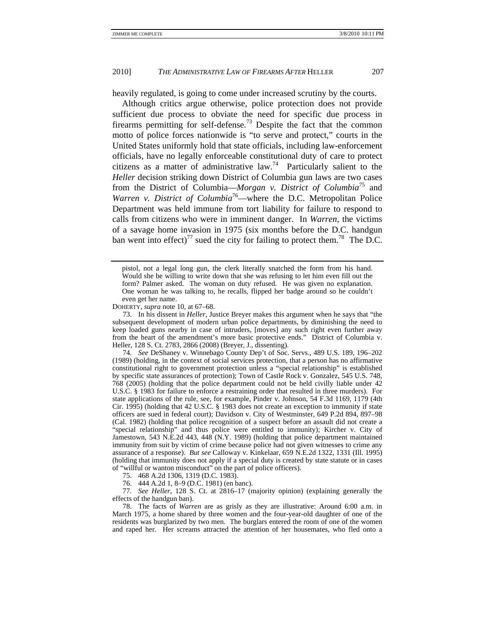heavily regulated, is going to come under increased scrutiny by the courts.

Although critics argue otherwise, police protection does not provide sufficient due process to obviate the need for specific due process in firearms permitting for self-defense.<sup>73</sup> Despite the fact that the common motto of police forces nationwide is "to serve and protect," courts in the United States uniformly hold that state officials, including law-enforcement officials, have no legally enforceable constitutional duty of care to protect citizens as a matter of administrative law.<sup>74</sup> Particularly salient to the *Heller* decision striking down District of Columbia gun laws are two cases from the District of Columbia—*Morgan v. District of Columbia*75 and *Warren v. District of Columbia*<sup>76</sup>—where the D.C. Metropolitan Police Department was held immune from tort liability for failure to respond to calls from citizens who were in imminent danger. In *Warren*, the victims of a savage home invasion in 1975 (six months before the D.C. handgun ban went into effect)<sup>77</sup> sued the city for failing to protect them.<sup>78</sup> The D.C.

DOHERTY, *supra* note 10, at 67–68.

 73. In his dissent in *Heller*, Justice Breyer makes this argument when he says that "the subsequent development of modern urban police departments, by diminishing the need to keep loaded guns nearby in case of intruders, [moves] any such right even further away from the heart of the amendment's more basic protective ends." District of Columbia v. Heller, 128 S. Ct. 2783, 2866 (2008) (Breyer, J., dissenting).

74*. See* DeShaney v. Winnebago County Dep't of Soc. Servs., 489 U.S. 189, 196–202 (1989) (holding, in the context of social services protection, that a person has no affirmative constitutional right to government protection unless a "special relationship" is established by specific state assurances of protection); Town of Castle Rock v. Gonzalez, 545 U.S. 748, 768 (2005) (holding that the police department could not be held civilly liable under 42 U.S.C. § 1983 for failure to enforce a restraining order that resulted in three murders). For state applications of the rule, see, for example, Pinder v. Johnson, 54 F.3d 1169, 1179 (4th Cir. 1995) (holding that 42 U.S.C. § 1983 does not create an exception to immunity if state officers are sued in federal court); Davidson v. City of Westminster, 649 P.2d 894, 897–98 (Cal. 1982) (holding that police recognition of a suspect before an assault did not create a "special relationship" and thus police were entitled to immunity); Kircher v. City of Jamestown, 543 N.E.2d 443, 448 (N.Y. 1989) (holding that police department maintained immunity from suit by victim of crime because police had not given witnesses to crime any assurance of a response). *But see* Calloway v. Kinkelaar, 659 N.E.2d 1322, 1331 (Ill. 1995) (holding that immunity does not apply if a special duty is created by state statute or in cases of "willful or wanton misconduct" on the part of police officers).

75. 468 A.2d 1306, 1319 (D.C. 1983).

76. 444 A.2d 1, 8–9 (D.C. 1981) (en banc).

77*. See Heller*, 128 S. Ct. at 2816–17 (majority opinion) (explaining generally the effects of the handgun ban).

 78. The facts of *Warren* are as grisly as they are illustrative: Around 6:00 a.m. in March 1975, a home shared by three women and the four-year-old daughter of one of the residents was burglarized by two men. The burglars entered the room of one of the women and raped her. Her screams attracted the attention of her housemates, who fled onto a

pistol, not a legal long gun, the clerk literally snatched the form from his hand. Would she be willing to write down that she was refusing to let him even fill out the form? Palmer asked. The woman on duty refused. He was given no explanation. One woman he was talking to, he recalls, flipped her badge around so he couldn't even get her name.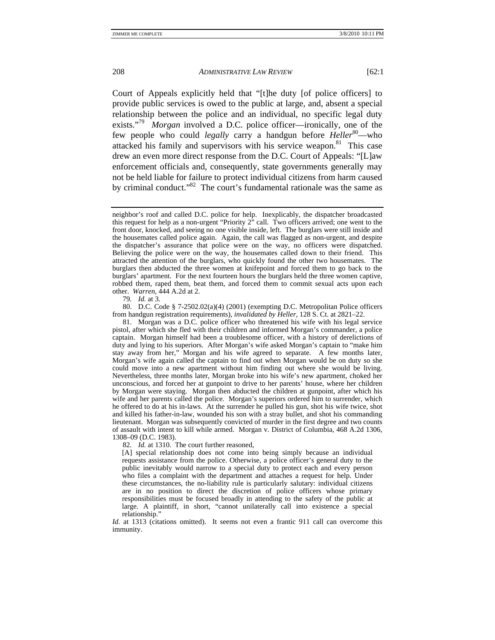Court of Appeals explicitly held that "[t]he duty [of police officers] to provide public services is owed to the public at large, and, absent a special relationship between the police and an individual, no specific legal duty exists."79 *Morgan* involved a D.C. police officer—ironically, one of the few people who could *legally* carry a handgun before *Heller*<sup>80</sup>—who attacked his family and supervisors with his service weapon.<sup>81</sup> This case drew an even more direct response from the D.C. Court of Appeals: "[L]aw enforcement officials and, consequently, state governments generally may not be held liable for failure to protect individual citizens from harm caused by criminal conduct."<sup>82</sup> The court's fundamental rationale was the same as

79*. Id.* at 3.

 80. D.C. Code § 7-2502.02(a)(4) (2001) (exempting D.C. Metropolitan Police officers from handgun registration requirements), *invalidated by Heller*, 128 S. Ct. at 2821–22.

 81. Morgan was a D.C. police officer who threatened his wife with his legal service pistol, after which she fled with their children and informed Morgan's commander, a police captain. Morgan himself had been a troublesome officer, with a history of derelictions of duty and lying to his superiors. After Morgan's wife asked Morgan's captain to "make him stay away from her," Morgan and his wife agreed to separate. A few months later, Morgan's wife again called the captain to find out when Morgan would be on duty so she could move into a new apartment without him finding out where she would be living. Nevertheless, three months later, Morgan broke into his wife's new apartment, choked her unconscious, and forced her at gunpoint to drive to her parents' house, where her children by Morgan were staying. Morgan then abducted the children at gunpoint, after which his wife and her parents called the police. Morgan's superiors ordered him to surrender, which he offered to do at his in-laws. At the surrender he pulled his gun, shot his wife twice, shot and killed his father-in-law, wounded his son with a stray bullet, and shot his commanding lieutenant. Morgan was subsequently convicted of murder in the first degree and two counts of assault with intent to kill while armed. Morgan v. District of Columbia, 468 A.2d 1306, 1308–09 (D.C. 1983).

82*. Id.* at 1310. The court further reasoned,

[A] special relationship does not come into being simply because an individual requests assistance from the police. Otherwise, a police officer's general duty to the public inevitably would narrow to a special duty to protect each and every person who files a complaint with the department and attaches a request for help. Under these circumstances, the no-liability rule is particularly salutary: individual citizens are in no position to direct the discretion of police officers whose primary responsibilities must be focused broadly in attending to the safety of the public at large. A plaintiff, in short, "cannot unilaterally call into existence a special relationship."

*Id.* at 1313 (citations omitted). It seems not even a frantic 911 call can overcome this immunity.

neighbor's roof and called D.C. police for help. Inexplicably, the dispatcher broadcasted this request for help as a non-urgent "Priority 2" call. Two officers arrived; one went to the front door, knocked, and seeing no one visible inside, left. The burglars were still inside and the housemates called police again. Again, the call was flagged as non-urgent, and despite the dispatcher's assurance that police were on the way, no officers were dispatched. Believing the police were on the way, the housemates called down to their friend. This attracted the attention of the burglars, who quickly found the other two housemates. The burglars then abducted the three women at knifepoint and forced them to go back to the burglars' apartment. For the next fourteen hours the burglars held the three women captive, robbed them, raped them, beat them, and forced them to commit sexual acts upon each other. *Warren*, 444 A.2d at 2.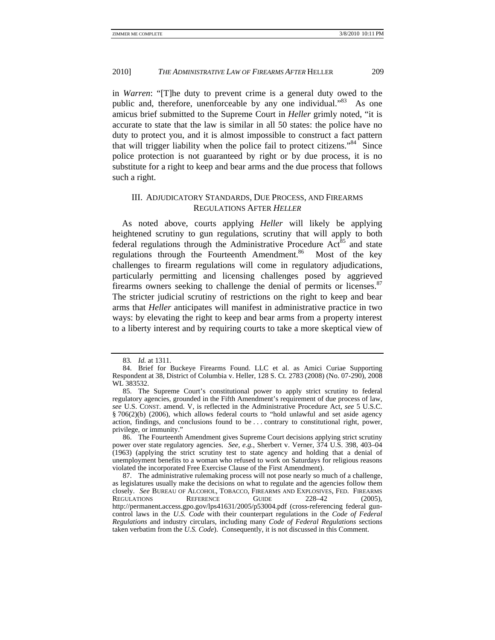in *Warren*: "[T]he duty to prevent crime is a general duty owed to the public and, therefore, unenforceable by any one individual."<sup>83</sup> As one amicus brief submitted to the Supreme Court in *Heller* grimly noted, "it is accurate to state that the law is similar in all 50 states: the police have no duty to protect you, and it is almost impossible to construct a fact pattern that will trigger liability when the police fail to protect citizens." $84^{\degree}$  Since police protection is not guaranteed by right or by due process, it is no substitute for a right to keep and bear arms and the due process that follows such a right.

# III. ADJUDICATORY STANDARDS, DUE PROCESS, AND FIREARMS REGULATIONS AFTER *HELLER*

As noted above, courts applying *Heller* will likely be applying heightened scrutiny to gun regulations, scrutiny that will apply to both federal regulations through the Administrative Procedure  $Act^{85}$  and state regulations through the Fourteenth Amendment.<sup>86</sup> Most of the key challenges to firearm regulations will come in regulatory adjudications, particularly permitting and licensing challenges posed by aggrieved firearms owners seeking to challenge the denial of permits or licenses. $87$ The stricter judicial scrutiny of restrictions on the right to keep and bear arms that *Heller* anticipates will manifest in administrative practice in two ways: by elevating the right to keep and bear arms from a property interest to a liberty interest and by requiring courts to take a more skeptical view of

<sup>83</sup>*. Id.* at 1311.

 <sup>84.</sup> Brief for Buckeye Firearms Found. LLC et al. as Amici Curiae Supporting Respondent at 38, District of Columbia v. Heller, 128 S. Ct. 2783 (2008) (No. 07-290), 2008 WL 383532.

 <sup>85.</sup> The Supreme Court's constitutional power to apply strict scrutiny to federal regulatory agencies, grounded in the Fifth Amendment's requirement of due process of law, *see* U.S. CONST. amend. V, is reflected in the Administrative Procedure Act, *see* 5 U.S.C. § 706(2)(b) (2006), which allows federal courts to "hold unlawful and set aside agency action, findings, and conclusions found to be . . . contrary to constitutional right, power, privilege, or immunity."

 <sup>86.</sup> The Fourteenth Amendment gives Supreme Court decisions applying strict scrutiny power over state regulatory agencies. *See, e.g.*, Sherbert v. Verner, 374 U.S. 398, 403–04 (1963) (applying the strict scrutiny test to state agency and holding that a denial of unemployment benefits to a woman who refused to work on Saturdays for religious reasons violated the incorporated Free Exercise Clause of the First Amendment).

 <sup>87.</sup> The administrative rulemaking process will not pose nearly so much of a challenge, as legislatures usually make the decisions on what to regulate and the agencies follow them closely. *See* BUREAU OF ALCOHOL, TOBACCO, FIREARMS AND EXPLOSIVES, FED. FIREARMS REGULATIONS REFERENCE GUIDE 228-42 (2005), http://permanent.access.gpo.gov/lps41631/2005/p53004.pdf (cross-referencing federal guncontrol laws in the *U.S. Code* with their counterpart regulations in the *Code of Federal Regulations* and industry circulars, including many *Code of Federal Regulations* sections taken verbatim from the *U.S. Code*). Consequently, it is not discussed in this Comment.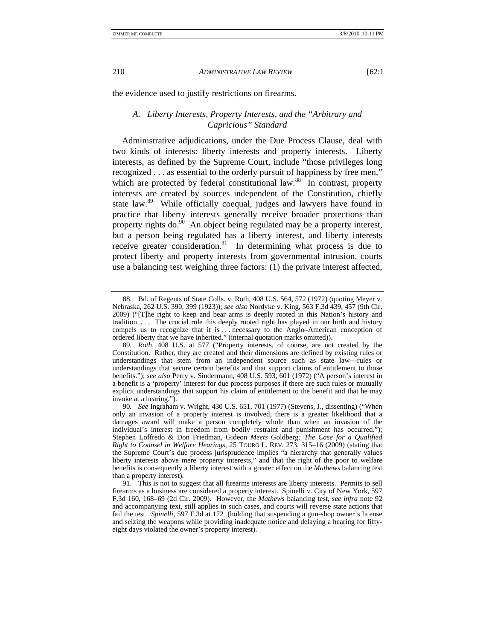the evidence used to justify restrictions on firearms.

# *A. Liberty Interests, Property Interests, and the "Arbitrary and Capricious" Standard*

Administrative adjudications, under the Due Process Clause, deal with two kinds of interests: liberty interests and property interests. Liberty interests, as defined by the Supreme Court, include "those privileges long recognized . . . as essential to the orderly pursuit of happiness by free men," which are protected by federal constitutional law.<sup>88</sup> In contrast, property interests are created by sources independent of the Constitution, chiefly state law.<sup>89</sup> While officially coequal, judges and lawyers have found in practice that liberty interests generally receive broader protections than property rights do. $90$  An object being regulated may be a property interest, but a person being regulated has a liberty interest, and liberty interests receive greater consideration.<sup>91</sup> In determining what process is due to protect liberty and property interests from governmental intrusion, courts use a balancing test weighing three factors: (1) the private interest affected,

 <sup>88.</sup> Bd. of Regents of State Colls. v. Roth, 408 U.S. 564, 572 (1972) (quoting Meyer v. Nebraska, 262 U.S. 390, 399 (1923)); *see also* Nordyke v. King, 563 F.3d 439, 457 (9th Cir. 2009) ("[T]he right to keep and bear arms is deeply rooted in this Nation's history and tradition. . . . The crucial role this deeply rooted right has played in our birth and history compels us to recognize that it is . . . necessary to the Anglo–American conception of ordered liberty that we have inherited." (internal quotation marks omitted)).

<sup>89</sup>*. Roth*, 408 U.S. at 577 ("Property interests, of course, are not created by the Constitution. Rather, they are created and their dimensions are defined by existing rules or understandings that stem from an independent source such as state law—rules or understandings that secure certain benefits and that support claims of entitlement to those benefits."); *see also* Perry v. Sindermann, 408 U.S. 593, 601 (1972) ("A person's interest in a benefit is a 'property' interest for due process purposes if there are such rules or mutually explicit understandings that support his claim of entitlement to the benefit and that he may invoke at a hearing.").

<sup>90</sup>*. See* Ingraham v. Wright, 430 U.S. 651, 701 (1977) (Stevens, J., dissenting) ("When only an invasion of a property interest is involved, there is a greater likelihood that a damages award will make a person completely whole than when an invasion of the individual's interest in freedom from bodily restraint and punishment has occurred."); Stephen Loffredo & Don Friedman, Gideon *Meets* Goldberg*: The Case for a Qualified Right to Counsel in Welfare Hearings*, 25 TOURO L. REV. 273, 315–16 (2009) (stating that the Supreme Court's due process jurisprudence implies "a hierarchy that generally values liberty interests above mere property interests," and that the right of the poor to welfare benefits is consequently a liberty interest with a greater effect on the *Mathews* balancing test than a property interest).

 <sup>91.</sup> This is not to suggest that all firearms interests are liberty interests. Permits to sell firearms as a business are considered a property interest. Spinelli v. City of New York, 597 F.3d 160, 168–69 (2d Cir. 2009). However, the *Mathews* balancing test, *see infra* note 92 and accompanying text, still applies in such cases, and courts will reverse state actions that fail the test. *Spinelli*, 597 F.3d at 172 (holding that suspending a gun-shop owner's license and seizing the weapons while providing inadequate notice and delaying a hearing for fiftyeight days violated the owner's property interest).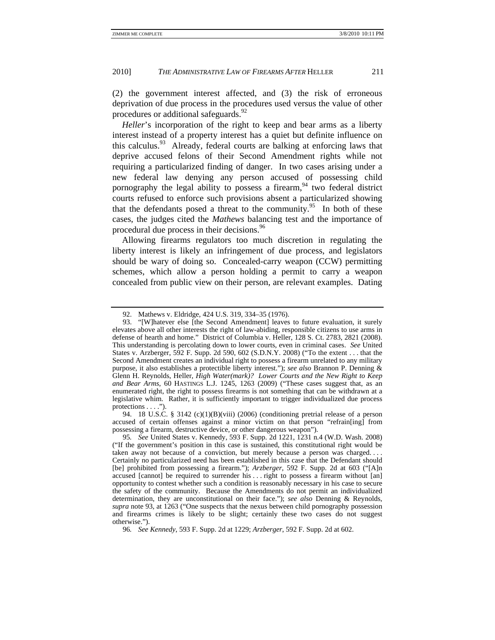(2) the government interest affected, and (3) the risk of erroneous deprivation of due process in the procedures used versus the value of other procedures or additional safeguards.<sup>92</sup>

*Heller*'s incorporation of the right to keep and bear arms as a liberty interest instead of a property interest has a quiet but definite influence on this calculus.<sup>93</sup> Already, federal courts are balking at enforcing laws that deprive accused felons of their Second Amendment rights while not requiring a particularized finding of danger. In two cases arising under a new federal law denying any person accused of possessing child pornography the legal ability to possess a firearm,  $94$  two federal district courts refused to enforce such provisions absent a particularized showing that the defendants posed a threat to the community.<sup>95</sup> In both of these cases, the judges cited the *Mathews* balancing test and the importance of procedural due process in their decisions.<sup>96</sup>

Allowing firearms regulators too much discretion in regulating the liberty interest is likely an infringement of due process, and legislators should be wary of doing so. Concealed-carry weapon (CCW) permitting schemes, which allow a person holding a permit to carry a weapon concealed from public view on their person, are relevant examples. Dating

 <sup>92.</sup> Mathews v. Eldridge, 424 U.S. 319, 334–35 (1976).

 <sup>93. &</sup>quot;[W]hatever else [the Second Amendment] leaves to future evaluation, it surely elevates above all other interests the right of law-abiding, responsible citizens to use arms in defense of hearth and home." District of Columbia v. Heller, 128 S. Ct. 2783, 2821 (2008). This understanding is percolating down to lower courts, even in criminal cases. *See* United States v. Arzberger, 592 F. Supp. 2d 590, 602 (S.D.N.Y. 2008) ("To the extent . . . that the Second Amendment creates an individual right to possess a firearm unrelated to any military purpose, it also establishes a protectible liberty interest."); *see also* Brannon P. Denning & Glenn H. Reynolds, Heller*, High Water(mark)? Lower Courts and the New Right to Keep and Bear Arms*, 60 HASTINGS L.J. 1245, 1263 (2009) ("These cases suggest that, as an enumerated right, the right to possess firearms is not something that can be withdrawn at a legislative whim. Rather, it is sufficiently important to trigger individualized due process protections  $\dots$ .").

 <sup>94. 18</sup> U.S.C. § 3142 (c)(1)(B)(viii) (2006) (conditioning pretrial release of a person accused of certain offenses against a minor victim on that person "refrain[ing] from possessing a firearm, destructive device, or other dangerous weapon").

<sup>95</sup>*. See* United States v. Kennedy, 593 F. Supp. 2d 1221, 1231 n.4 (W.D. Wash. 2008) ("If the government's position in this case is sustained, this constitutional right would be taken away not because of a conviction, but merely because a person was charged. . . . Certainly no particularized need has been established in this case that the Defendant should [be] prohibited from possessing a firearm."); *Arzberger*, 592 F. Supp. 2d at 603 ("[A]n accused [cannot] be required to surrender his . . . right to possess a firearm without [an] opportunity to contest whether such a condition is reasonably necessary in his case to secure the safety of the community. Because the Amendments do not permit an individualized determination, they are unconstitutional on their face."); *see also* Denning & Reynolds, *supra* note 93, at 1263 ("One suspects that the nexus between child pornography possession and firearms crimes is likely to be slight; certainly these two cases do not suggest otherwise.").

<sup>96</sup>*. See Kennedy*, 593 F. Supp. 2d at 1229; *Arzberger*, 592 F. Supp. 2d at 602.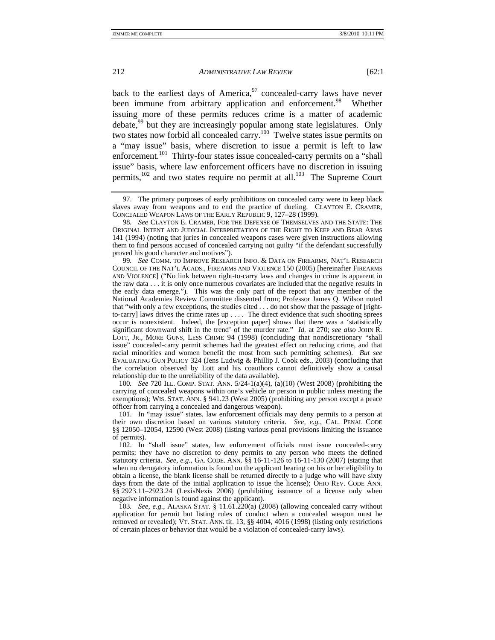back to the earliest days of America,  $97$  concealed-carry laws have never been immune from arbitrary application and enforcement.<sup>98</sup> Whether issuing more of these permits reduces crime is a matter of academic debate,<sup>99</sup> but they are increasingly popular among state legislatures. Only two states now forbid all concealed carry.100 Twelve states issue permits on a "may issue" basis, where discretion to issue a permit is left to law enforcement.<sup>101</sup> Thirty-four states issue concealed-carry permits on a "shall issue" basis, where law enforcement officers have no discretion in issuing permits,<sup>102</sup> and two states require no permit at all.<sup>103</sup> The Supreme Court

99*. See* COMM. TO IMPROVE RESEARCH INFO. & DATA ON FIREARMS, NAT'L RESEARCH COUNCIL OF THE NAT'L ACADS., FIREARMS AND VIOLENCE 150 (2005) [hereinafter FIREARMS AND VIOLENCE] ("No link between right-to-carry laws and changes in crime is apparent in the raw data . . . it is only once numerous covariates are included that the negative results in the early data emerge."). This was the only part of the report that any member of the National Academies Review Committee dissented from; Professor James Q. Wilson noted that "with only a few exceptions, the studies cited . . . do not show that the passage of [rightto-carry] laws drives the crime rates up . . . . The direct evidence that such shooting sprees occur is nonexistent. Indeed, the [exception paper] shows that there was a 'statistically significant downward shift in the trend' of the murder rate." *Id.* at 270; *see also* JOHN R. LOTT, JR., MORE GUNS, LESS CRIME 94 (1998) (concluding that nondiscretionary "shall issue" concealed-carry permit schemes had the greatest effect on reducing crime, and that racial minorities and women benefit the most from such permitting schemes). *But see* EVALUATING GUN POLICY 324 (Jens Ludwig & Phillip J. Cook eds., 2003) (concluding that the correlation observed by Lott and his coauthors cannot definitively show a causal relationship due to the unreliability of the data available).

100*. See* 720 ILL. COMP. STAT. ANN. 5/24-1(a)(4), (a)(10) (West 2008) (prohibiting the carrying of concealed weapons within one's vehicle or person in public unless meeting the exemptions); WIS. STAT. ANN. § 941.23 (West 2005) (prohibiting any person except a peace officer from carrying a concealed and dangerous weapon).

 101. In "may issue" states, law enforcement officials may deny permits to a person at their own discretion based on various statutory criteria. *See, e.g.*, CAL. PENAL CODE §§ 12050–12054, 12590 (West 2008) (listing various penal provisions limiting the issuance of permits).

 102. In "shall issue" states, law enforcement officials must issue concealed-carry permits; they have no discretion to deny permits to any person who meets the defined statutory criteria. *See, e.g.*, GA. CODE. ANN. §§ 16-11-126 to 16-11-130 (2007) (stating that when no derogatory information is found on the applicant bearing on his or her eligibility to obtain a license, the blank license shall be returned directly to a judge who will have sixty days from the date of the initial application to issue the license); OHIO REV. CODE ANN. §§ 2923.11–2923.24 (LexisNexis 2006) (prohibiting issuance of a license only when negative information is found against the applicant).

103*. See, e.g.*, ALASKA STAT. § 11.61.220(a) (2008) (allowing concealed carry without application for permit but listing rules of conduct when a concealed weapon must be removed or revealed); VT. STAT. ANN. tit. 13, §§ 4004, 4016 (1998) (listing only restrictions of certain places or behavior that would be a violation of concealed-carry laws).

 <sup>97.</sup> The primary purposes of early prohibitions on concealed carry were to keep black slaves away from weapons and to end the practice of dueling. CLAYTON E. CRAMER, CONCEALED WEAPON LAWS OF THE EARLY REPUBLIC 9, 127–28 (1999).

<sup>98</sup>*. See* CLAYTON E. CRAMER, FOR THE DEFENSE OF THEMSELVES AND THE STATE: THE ORIGINAL INTENT AND JUDICIAL INTERPRETATION OF THE RIGHT TO KEEP AND BEAR ARMS 141 (1994) (noting that juries in concealed weapons cases were given instructions allowing them to find persons accused of concealed carrying not guilty "if the defendant successfully proved his good character and motives").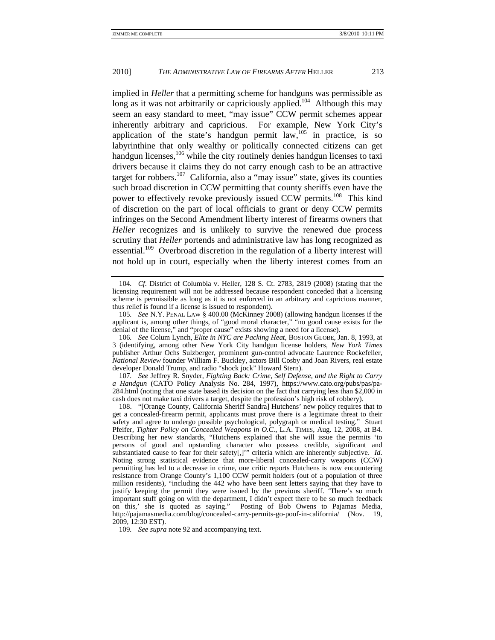implied in *Heller* that a permitting scheme for handguns was permissible as long as it was not arbitrarily or capriciously applied.<sup>104</sup> Although this may seem an easy standard to meet, "may issue" CCW permit schemes appear inherently arbitrary and capricious. For example, New York City's application of the state's handgun permit  $law$ , $105$  in practice, is so labyrinthine that only wealthy or politically connected citizens can get handgun licenses,<sup>106</sup> while the city routinely denies handgun licenses to taxi drivers because it claims they do not carry enough cash to be an attractive target for robbers.<sup>107</sup> California, also a "may issue" state, gives its counties such broad discretion in CCW permitting that county sheriffs even have the power to effectively revoke previously issued CCW permits.<sup>108</sup> This kind of discretion on the part of local officials to grant or deny CCW permits infringes on the Second Amendment liberty interest of firearms owners that *Heller* recognizes and is unlikely to survive the renewed due process scrutiny that *Heller* portends and administrative law has long recognized as essential.<sup>109</sup> Overbroad discretion in the regulation of a liberty interest will not hold up in court, especially when the liberty interest comes from an

105*. See* N.Y. PENAL LAW § 400.00 (McKinney 2008) (allowing handgun licenses if the applicant is, among other things, of "good moral character," "no good cause exists for the denial of the license," and "proper cause" exists showing a need for a license).

106*. See* Colum Lynch, *Elite in NYC are Packing Heat*, BOSTON GLOBE, Jan. 8, 1993, at 3 (identifying, among other New York City handgun license holders, *New York Times* publisher Arthur Ochs Sulzberger, prominent gun-control advocate Laurence Rockefeller, *National Review* founder William F. Buckley, actors Bill Cosby and Joan Rivers, real estate developer Donald Trump, and radio "shock jock" Howard Stern).

107*. See* Jeffrey R. Snyder, *Fighting Back: Crime, Self Defense, and the Right to Carry a Handgun* (CATO Policy Analysis No. 284, 1997), https://www.cato.org/pubs/pas/pa-284.html (noting that one state based its decision on the fact that carrying less than \$2,000 in cash does not make taxi drivers a target, despite the profession's high risk of robbery).

 108. "[Orange County, California Sheriff Sandra] Hutchens' new policy requires that to get a concealed-firearm permit, applicants must prove there is a legitimate threat to their safety and agree to undergo possible psychological, polygraph or medical testing." Stuart Pfeifer, *Tighter Policy on Concealed Weapons in O.C.*, L.A. TIMES, Aug. 12, 2008, at B4. Describing her new standards, "Hutchens explained that she will issue the permits 'to persons of good and upstanding character who possess credible, significant and substantiated cause to fear for their safety[,]'" criteria which are inherently subjective. *Id*. Noting strong statistical evidence that more-liberal concealed-carry weapons (CCW) permitting has led to a decrease in crime, one critic reports Hutchens is now encountering resistance from Orange County's 1,100 CCW permit holders (out of a population of three million residents), "including the 442 who have been sent letters saying that they have to justify keeping the permit they were issued by the previous sheriff. 'There's so much important stuff going on with the department, I didn't expect there to be so much feedback on this,' she is quoted as saying." Posting of Bob Owens to Pajamas Media, http://pajamasmedia.com/blog/concealed-carry-permits-go-poof-in-california/ (Nov. 19, 2009, 12:30 EST).

109*. See supra* note 92 and accompanying text.

<sup>104</sup>*. Cf.* District of Columbia v. Heller, 128 S. Ct. 2783, 2819 (2008) (stating that the licensing requirement will not be addressed because respondent conceded that a licensing scheme is permissible as long as it is not enforced in an arbitrary and capricious manner, thus relief is found if a license is issued to respondent).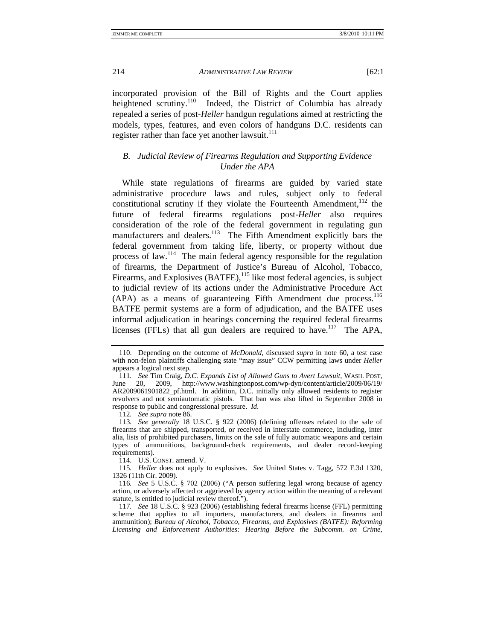incorporated provision of the Bill of Rights and the Court applies heightened scrutiny.<sup>110</sup> Indeed, the District of Columbia has already repealed a series of post-*Heller* handgun regulations aimed at restricting the models, types, features, and even colors of handguns D.C. residents can register rather than face yet another lawsuit. $111$ 

# *B. Judicial Review of Firearms Regulation and Supporting Evidence Under the APA*

While state regulations of firearms are guided by varied state administrative procedure laws and rules, subject only to federal constitutional scrutiny if they violate the Fourteenth Amendment, $112$  the future of federal firearms regulations post-*Heller* also requires consideration of the role of the federal government in regulating gun manufacturers and dealers.<sup>113</sup> The Fifth Amendment explicitly bars the federal government from taking life, liberty, or property without due process of law.114 The main federal agency responsible for the regulation of firearms, the Department of Justice's Bureau of Alcohol, Tobacco, Firearms, and Explosives  $(BATFE)$ ,<sup>115</sup> like most federal agencies, is subject to judicial review of its actions under the Administrative Procedure Act  $(APA)$  as a means of guaranteeing Fifth Amendment due process.<sup>116</sup> BATFE permit systems are a form of adjudication, and the BATFE uses informal adjudication in hearings concerning the required federal firearms licenses (FFLs) that all gun dealers are required to have.<sup>117</sup> The APA,

112*. See supra* note 86.

 <sup>110.</sup> Depending on the outcome of *McDonald*, discussed *supra* in note 60, a test case with non-felon plaintiffs challenging state "may issue" CCW permitting laws under *Heller* appears a logical next step.

<sup>111</sup>*. See* Tim Craig, *D.C. Expands List of Allowed Guns to Avert Lawsuit*, WASH. POST, ne 20, 2009, http://www.washingtonpost.com/wp-dyn/content/article/2009/06/19/ June 20, 2009, http://www.washingtonpost.com/wp-dyn/content/article/2009/06/19/ AR2009061901822\_pf.html. In addition, D.C. initially only allowed residents to register revolvers and not semiautomatic pistols. That ban was also lifted in September 2008 in response to public and congressional pressure. *Id*.

<sup>113</sup>*. See generally* 18 U.S.C. § 922 (2006) (defining offenses related to the sale of firearms that are shipped, transported, or received in interstate commerce, including, inter alia, lists of prohibited purchasers, limits on the sale of fully automatic weapons and certain types of ammunitions, background-check requirements, and dealer record-keeping requirements).

 <sup>114.</sup> U.S. CONST. amend. V.

<sup>115</sup>*. Heller* does not apply to explosives. *See* United States v. Tagg, 572 F.3d 1320, 1326 (11th Cir. 2009).

<sup>116</sup>*. See* 5 U.S.C. § 702 (2006) ("A person suffering legal wrong because of agency action, or adversely affected or aggrieved by agency action within the meaning of a relevant statute, is entitled to judicial review thereof.").

<sup>117</sup>*. See* 18 U.S.C. § 923 (2006) (establishing federal firearms license (FFL) permitting scheme that applies to all importers, manufacturers, and dealers in firearms and ammunition); *Bureau of Alcohol, Tobacco, Firearms, and Explosives (BATFE): Reforming Licensing and Enforcement Authorities: Hearing Before the Subcomm. on Crime,*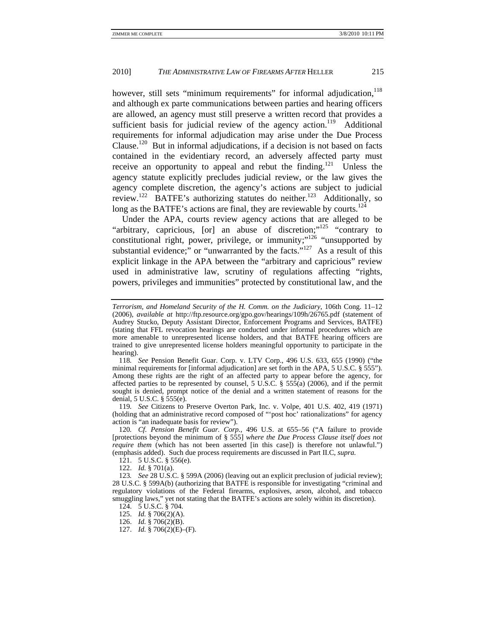however, still sets "minimum requirements" for informal adjudication, <sup>118</sup> and although ex parte communications between parties and hearing officers are allowed, an agency must still preserve a written record that provides a sufficient basis for judicial review of the agency action.<sup>119</sup> Additional requirements for informal adjudication may arise under the Due Process Clause.<sup>120</sup> But in informal adjudications, if a decision is not based on facts contained in the evidentiary record, an adversely affected party must receive an opportunity to appeal and rebut the finding.<sup>121</sup> Unless the agency statute explicitly precludes judicial review, or the law gives the agency complete discretion, the agency's actions are subject to judicial review.122 BATFE's authorizing statutes do neither.123 Additionally, so long as the BATFE's actions are final, they are reviewable by courts.<sup>124</sup>

Under the APA, courts review agency actions that are alleged to be "arbitrary, capricious,  $\lceil$  or  $\rceil$  an abuse of discretion;"<sup>125</sup> "contrary to constitutional right, power, privilege, or immunity;"<sup>126</sup> "unsupported by substantial evidence;" or "unwarranted by the facts." $127$  As a result of this explicit linkage in the APA between the "arbitrary and capricious" review used in administrative law, scrutiny of regulations affecting "rights, powers, privileges and immunities" protected by constitutional law, and the

118*. See* Pension Benefit Guar. Corp. v. LTV Corp., 496 U.S. 633, 655 (1990) ("the minimal requirements for [informal adjudication] are set forth in the APA, 5 U.S.C. § 555"). Among these rights are the right of an affected party to appear before the agency, for affected parties to be represented by counsel, 5 U.S.C. § 555(a) (2006), and if the permit sought is denied, prompt notice of the denial and a written statement of reasons for the denial, 5 U.S.C. § 555(e).

119*. See* Citizens to Preserve Overton Park, Inc. v. Volpe, 401 U.S. 402, 419 (1971) (holding that an administrative record composed of "'post hoc' rationalizations" for agency action is "an inadequate basis for review").

120*. Cf. Pension Benefit Guar. Corp.*, 496 U.S. at 655–56 ("A failure to provide [protections beyond the minimum of § 555] *where the Due Process Clause itself does not require them* (which has not been asserted [in this case]) is therefore not unlawful.") (emphasis added). Such due process requirements are discussed in Part II.C, *supra.*

121. 5 U.S.C.  $\S$  556(e).

122. *Id.* § 701(a).

123*. See* 28 U.S.C. § 599A (2006) (leaving out an explicit preclusion of judicial review); 28 U.S.C. § 599A(b) (authorizing that BATFE is responsible for investigating "criminal and regulatory violations of the Federal firearms, explosives, arson, alcohol, and tobacco smuggling laws," yet not stating that the BATFE's actions are solely within its discretion).

124. 5 U.S.C. § 704.

125. *Id.* § 706(2)(A).

126. *Id.* § 706(2)(B).

127. *Id.* § 706(2)(E)–(F).

*Terrorism, and Homeland Security of the H. Comm. on the Judiciary*, 106th Cong. 11–12 (2006), *available at* http://ftp.resource.org/gpo.gov/hearings/109h/26765.pdf (statement of Audrey Stucko, Deputy Assistant Director, Enforcement Programs and Services, BATFE) (stating that FFL revocation hearings are conducted under informal procedures which are more amenable to unrepresented license holders, and that BATFE hearing officers are trained to give unrepresented license holders meaningful opportunity to participate in the hearing).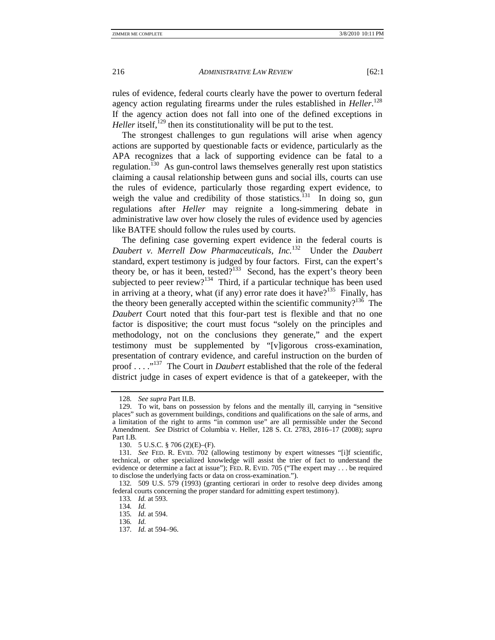rules of evidence, federal courts clearly have the power to overturn federal agency action regulating firearms under the rules established in *Heller*. 128 If the agency action does not fall into one of the defined exceptions in *Heller* itself,<sup> $129$ </sup> then its constitutionality will be put to the test.

The strongest challenges to gun regulations will arise when agency actions are supported by questionable facts or evidence, particularly as the APA recognizes that a lack of supporting evidence can be fatal to a regulation.<sup> $130$ </sup> As gun-control laws themselves generally rest upon statistics claiming a causal relationship between guns and social ills, courts can use the rules of evidence, particularly those regarding expert evidence, to weigh the value and credibility of those statistics.<sup>131</sup> In doing so, gun regulations after *Heller* may reignite a long-simmering debate in administrative law over how closely the rules of evidence used by agencies like BATFE should follow the rules used by courts.

The defining case governing expert evidence in the federal courts is *Daubert v. Merrell Dow Pharmaceuticals, Inc.*132 Under the *Daubert* standard, expert testimony is judged by four factors. First, can the expert's theory be, or has it been, tested? $133$  Second, has the expert's theory been subjected to peer review?<sup>134</sup> Third, if a particular technique has been used in arriving at a theory, what (if any) error rate does it have?<sup>135</sup> Finally, has the theory been generally accepted within the scientific community?<sup>136</sup> The *Daubert* Court noted that this four-part test is flexible and that no one factor is dispositive; the court must focus "solely on the principles and methodology, not on the conclusions they generate," and the expert testimony must be supplemented by "[v]igorous cross-examination, presentation of contrary evidence, and careful instruction on the burden of proof . . . ."137 The Court in *Daubert* established that the role of the federal district judge in cases of expert evidence is that of a gatekeeper, with the

<sup>128</sup>*. See supra* Part II.B.

 <sup>129.</sup> To wit, bans on possession by felons and the mentally ill, carrying in "sensitive places" such as government buildings, conditions and qualifications on the sale of arms, and a limitation of the right to arms "in common use" are all permissible under the Second Amendment. *See* District of Columbia v. Heller, 128 S. Ct. 2783, 2816–17 (2008); *supra* Part I.B*.* 

 <sup>130. 5</sup> U.S.C. § 706 (2)(E)–(F).

<sup>131</sup>*. See* FED. R. EVID. 702 (allowing testimony by expert witnesses "[i]f scientific, technical, or other specialized knowledge will assist the trier of fact to understand the evidence or determine a fact at issue"); FED. R. EVID. 705 ("The expert may . . . be required to disclose the underlying facts or data on cross-examination.").

<sup>132</sup>*.* 509 U.S. 579 (1993) (granting certiorari in order to resolve deep divides among federal courts concerning the proper standard for admitting expert testimony).

<sup>133</sup>*. Id.* at 593.

<sup>134</sup>*. Id.*

<sup>135</sup>*. Id.* at 594.

<sup>136</sup>*. Id.*

<sup>137</sup>*. Id.* at 594–96.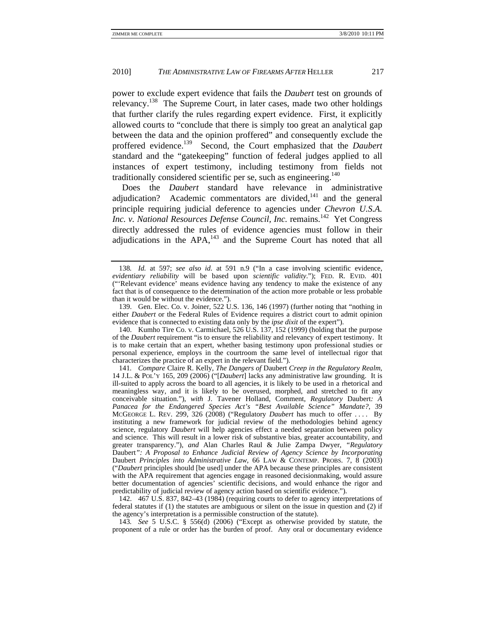power to exclude expert evidence that fails the *Daubert* test on grounds of relevancy.<sup>138</sup> The Supreme Court, in later cases, made two other holdings that further clarify the rules regarding expert evidence. First, it explicitly allowed courts to "conclude that there is simply too great an analytical gap between the data and the opinion proffered" and consequently exclude the proffered evidence.139 Second, the Court emphasized that the *Daubert* standard and the "gatekeeping" function of federal judges applied to all instances of expert testimony, including testimony from fields not traditionally considered scientific per se, such as engineering.<sup>140</sup>

Does the *Daubert* standard have relevance in administrative adjudication? Academic commentators are divided, $141$  and the general principle requiring judicial deference to agencies under *Chevron U.S.A. Inc. v. National Resources Defense Council, Inc.* remains.<sup>142</sup> Yet Congress directly addressed the rules of evidence agencies must follow in their adjudications in the  $APA$ ,  $^{143}$  and the Supreme Court has noted that all

 140. Kumho Tire Co. v. Carmichael, 526 U.S. 137, 152 (1999) (holding that the purpose of the *Daubert* requirement "is to ensure the reliability and relevancy of expert testimony. It is to make certain that an expert, whether basing testimony upon professional studies or personal experience, employs in the courtroom the same level of intellectual rigor that characterizes the practice of an expert in the relevant field.").

141*. Compare* Claire R. Kelly, *The Dangers of* Daubert *Creep in the Regulatory Realm*, 14 J.L. & POL'Y 165, 209 (2006) ("[*Daubert*] lacks any administrative law grounding. It is ill-suited to apply across the board to all agencies, it is likely to be used in a rhetorical and meaningless way, and it is likely to be overused, morphed, and stretched to fit any conceivable situation."), *with* J. Tavener Holland, Comment, *Regulatory* Daubert*: A Panacea for the Endangered Species Act's "Best Available Science" Mandate?*, 39 MCGEORGE L. REV. 299, 326 (2008) ("Regulatory *Daubert* has much to offer . . . . By instituting a new framework for judicial review of the methodologies behind agency science, regulatory *Daubert* will help agencies effect a needed separation between policy and science. This will result in a lower risk of substantive bias, greater accountability, and greater transparency."), *and* Alan Charles Raul & Julie Zampa Dwyer, *"Regulatory*  Daubert*": A Proposal to Enhance Judicial Review of Agency Science by Incorporating*  Daubert *Principles into Administrative Law*, 66 LAW & CONTEMP. PROBS. 7, 8 (2003) ("*Daubert* principles should [be used] under the APA because these principles are consistent with the APA requirement that agencies engage in reasoned decisionmaking, would assure better documentation of agencies' scientific decisions, and would enhance the rigor and predictability of judicial review of agency action based on scientific evidence.").

 142. 467 U.S. 837, 842–43 (1984) (requiring courts to defer to agency interpretations of federal statutes if (1) the statutes are ambiguous or silent on the issue in question and (2) if the agency's interpretation is a permissible construction of the statute).

143*. See* 5 U.S.C. § 556(d) (2006) ("Except as otherwise provided by statute, the proponent of a rule or order has the burden of proof. Any oral or documentary evidence

<sup>138</sup>*. Id.* at 597; *see also id.* at 591 n.9 ("In a case involving scientific evidence, *evidentiary reliability* will be based upon *scientific validity*."); FED. R. EVID. 401 ("'Relevant evidence' means evidence having any tendency to make the existence of any fact that is of consequence to the determination of the action more probable or less probable than it would be without the evidence.").

 <sup>139.</sup> Gen. Elec. Co. v. Joiner, 522 U.S. 136, 146 (1997) (further noting that "nothing in either *Daubert* or the Federal Rules of Evidence requires a district court to admit opinion evidence that is connected to existing data only by the *ipse dixit* of the expert").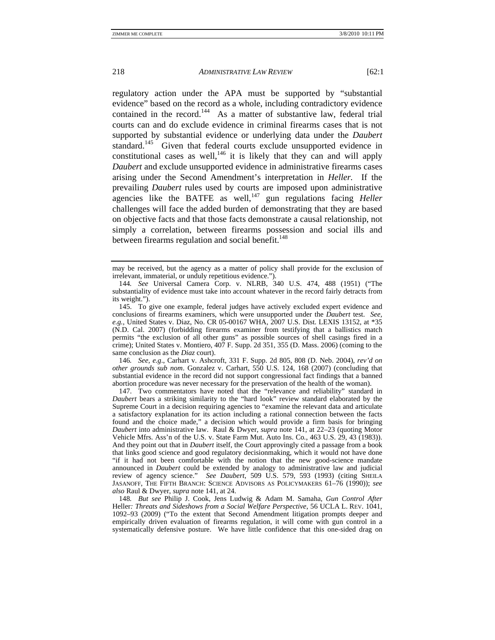regulatory action under the APA must be supported by "substantial evidence" based on the record as a whole, including contradictory evidence contained in the record.<sup>144</sup> As a matter of substantive law, federal trial courts can and do exclude evidence in criminal firearms cases that is not supported by substantial evidence or underlying data under the *Daubert*  standard.<sup>145</sup> Given that federal courts exclude unsupported evidence in constitutional cases as well,  $146$  it is likely that they can and will apply *Daubert* and exclude unsupported evidence in administrative firearms cases arising under the Second Amendment's interpretation in *Heller.* If the prevailing *Daubert* rules used by courts are imposed upon administrative agencies like the BATFE as well,<sup>147</sup> gun regulations facing *Heller* challenges will face the added burden of demonstrating that they are based on objective facts and that those facts demonstrate a causal relationship, not simply a correlation, between firearms possession and social ills and between firearms regulation and social benefit.<sup>148</sup>

146*. See, e.g*., Carhart v. Ashcroft, 331 F. Supp. 2d 805, 808 (D. Neb. 2004), *rev'd on other grounds sub nom*. Gonzalez v. Carhart, 550 U.S. 124, 168 (2007) (concluding that substantial evidence in the record did not support congressional fact findings that a banned abortion procedure was never necessary for the preservation of the health of the woman).

 147. Two commentators have noted that the "relevance and reliability" standard in *Daubert* bears a striking similarity to the "hard look" review standard elaborated by the Supreme Court in a decision requiring agencies to "examine the relevant data and articulate a satisfactory explanation for its action including a rational connection between the facts found and the choice made," a decision which would provide a firm basis for bringing *Daubert* into administrative law. Raul & Dwyer, *supra* note 141, at 22–23 (quoting Motor Vehicle Mfrs. Ass'n of the U.S. v. State Farm Mut. Auto Ins. Co*.*, 463 U.S. 29, 43 (1983)). And they point out that in *Daubert* itself, the Court approvingly cited a passage from a book that links good science and good regulatory decisionmaking, which it would not have done "if it had not been comfortable with the notion that the new good-science mandate announced in *Daubert* could be extended by analogy to administrative law and judicial review of agency science." *See Daubert*, 509 U.S. 579, 593 (1993) (citing SHEILA JASANOFF, THE FIFTH BRANCH: SCIENCE ADVISORS AS POLICYMAKERS 61–76 (1990)); *see also* Raul & Dwyer, *supra* note 141, at 24.

148*. But see* Philip J. Cook, Jens Ludwig & Adam M. Samaha, *Gun Control After*  Heller*: Threats and Sideshows from a Social Welfare Perspective*, 56 UCLA L. REV. 1041, 1092–93 (2009) ("To the extent that Second Amendment litigation prompts deeper and empirically driven evaluation of firearms regulation, it will come with gun control in a systematically defensive posture. We have little confidence that this one-sided drag on

may be received, but the agency as a matter of policy shall provide for the exclusion of irrelevant, immaterial, or unduly repetitious evidence.").

<sup>144</sup>*. See* Universal Camera Corp. v. NLRB, 340 U.S. 474, 488 (1951) ("The substantiality of evidence must take into account whatever in the record fairly detracts from its weight.").

 <sup>145.</sup> To give one example, federal judges have actively excluded expert evidence and conclusions of firearms examiners, which were unsupported under the *Daubert* test. *See, e.g.*, United States v. Diaz, No. CR 05-00167 WHA, 2007 U.S. Dist. LEXIS 13152, at \*35 (N.D. Cal. 2007) (forbidding firearms examiner from testifying that a ballistics match permits "the exclusion of all other guns" as possible sources of shell casings fired in a crime); United States v. Montiero, 407 F. Supp. 2d 351, 355 (D. Mass. 2006) (coming to the same conclusion as the *Diaz* court).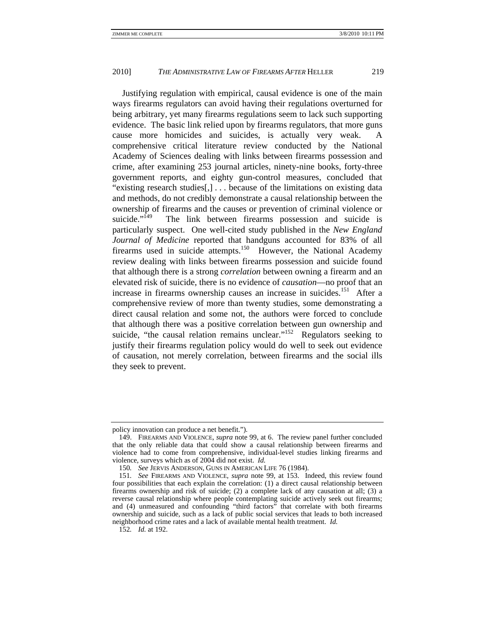Justifying regulation with empirical, causal evidence is one of the main ways firearms regulators can avoid having their regulations overturned for being arbitrary, yet many firearms regulations seem to lack such supporting evidence. The basic link relied upon by firearms regulators, that more guns cause more homicides and suicides, is actually very weak. A comprehensive critical literature review conducted by the National Academy of Sciences dealing with links between firearms possession and crime, after examining 253 journal articles, ninety-nine books, forty-three government reports, and eighty gun-control measures, concluded that "existing research studies[,] . . . because of the limitations on existing data and methods, do not credibly demonstrate a causal relationship between the ownership of firearms and the causes or prevention of criminal violence or suicide."<sup>149</sup> The link between firearms possession and suicide is particularly suspect. One well-cited study published in the *New England Journal of Medicine* reported that handguns accounted for 83% of all firearms used in suicide attempts.<sup>150</sup> However, the National Academy review dealing with links between firearms possession and suicide found that although there is a strong *correlation* between owning a firearm and an elevated risk of suicide, there is no evidence of *causation*—no proof that an increase in firearms ownership causes an increase in suicides.<sup>151</sup> After a comprehensive review of more than twenty studies, some demonstrating a direct causal relation and some not, the authors were forced to conclude that although there was a positive correlation between gun ownership and suicide, "the causal relation remains unclear."<sup>152</sup> Regulators seeking to justify their firearms regulation policy would do well to seek out evidence of causation, not merely correlation, between firearms and the social ills they seek to prevent.

policy innovation can produce a net benefit.").

 <sup>149.</sup> FIREARMS AND VIOLENCE, *supra* note 99, at 6. The review panel further concluded that the only reliable data that could show a causal relationship between firearms and violence had to come from comprehensive, individual-level studies linking firearms and violence, surveys which as of 2004 did not exist. *Id.*

<sup>150</sup>*. See* JERVIS ANDERSON, GUNS IN AMERICAN LIFE 76 (1984).

<sup>151</sup>*. See* FIREARMS AND VIOLENCE, *supra* note 99, at 153. Indeed, this review found four possibilities that each explain the correlation: (1) a direct causal relationship between firearms ownership and risk of suicide; (2) a complete lack of any causation at all; (3) a reverse causal relationship where people contemplating suicide actively seek out firearms; and (4) unmeasured and confounding "third factors" that correlate with both firearms ownership and suicide, such as a lack of public social services that leads to both increased neighborhood crime rates and a lack of available mental health treatment. *Id.*

<sup>152</sup>*. Id.* at 192.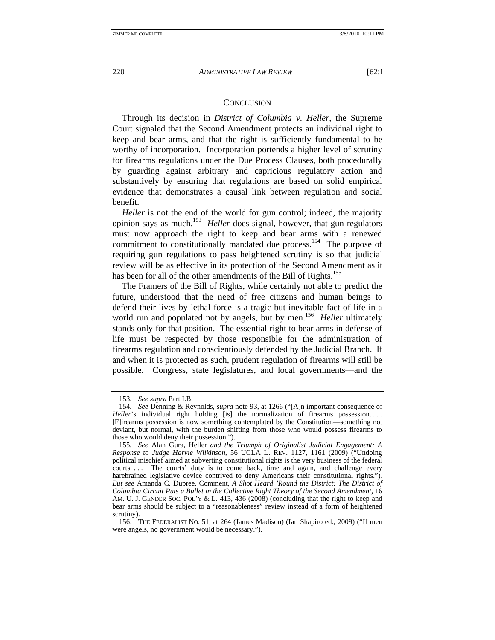#### **CONCLUSION**

Through its decision in *District of Columbia v. Heller*, the Supreme Court signaled that the Second Amendment protects an individual right to keep and bear arms, and that the right is sufficiently fundamental to be worthy of incorporation. Incorporation portends a higher level of scrutiny for firearms regulations under the Due Process Clauses, both procedurally by guarding against arbitrary and capricious regulatory action and substantively by ensuring that regulations are based on solid empirical evidence that demonstrates a causal link between regulation and social benefit.

*Heller* is not the end of the world for gun control; indeed, the majority opinion says as much.153 *Heller* does signal, however, that gun regulators must now approach the right to keep and bear arms with a renewed commitment to constitutionally mandated due process.<sup>154</sup> The purpose of requiring gun regulations to pass heightened scrutiny is so that judicial review will be as effective in its protection of the Second Amendment as it has been for all of the other amendments of the Bill of Rights.<sup>155</sup>

The Framers of the Bill of Rights, while certainly not able to predict the future, understood that the need of free citizens and human beings to defend their lives by lethal force is a tragic but inevitable fact of life in a world run and populated not by angels, but by men.<sup>156</sup> *Heller* ultimately stands only for that position. The essential right to bear arms in defense of life must be respected by those responsible for the administration of firearms regulation and conscientiously defended by the Judicial Branch. If and when it is protected as such, prudent regulation of firearms will still be possible. Congress, state legislatures, and local governments—and the

<sup>153</sup>*. See supra* Part I.B.

<sup>154</sup>*. See* Denning & Reynolds, *supra* note 93, at 1266 ("[A]n important consequence of *Heller*'s individual right holding [is] the normalization of firearms possession.... [F]irearms possession is now something contemplated by the Constitution—something not deviant, but normal, with the burden shifting from those who would possess firearms to those who would deny their possession.").

<sup>155</sup>*. See* Alan Gura, Heller *and the Triumph of Originalist Judicial Engagement: A Response to Judge Harvie Wilkinson*, 56 UCLA L. REV. 1127, 1161 (2009) ("Undoing political mischief aimed at subverting constitutional rights is the very business of the federal courts.... The courts' duty is to come back, time and again, and challenge every harebrained legislative device contrived to deny Americans their constitutional rights."). *But see* Amanda C. Dupree, Comment, *A Shot Heard 'Round the District: The District of Columbia Circuit Puts a Bullet in the Collective Right Theory of the Second Amendment*, 16 AM. U. J. GENDER SOC. POL'Y & L. 413, 436 (2008) (concluding that the right to keep and bear arms should be subject to a "reasonableness" review instead of a form of heightened scrutiny).

 <sup>156.</sup> THE FEDERALIST NO. 51, at 264 (James Madison) (Ian Shapiro ed., 2009) ("If men were angels, no government would be necessary.").